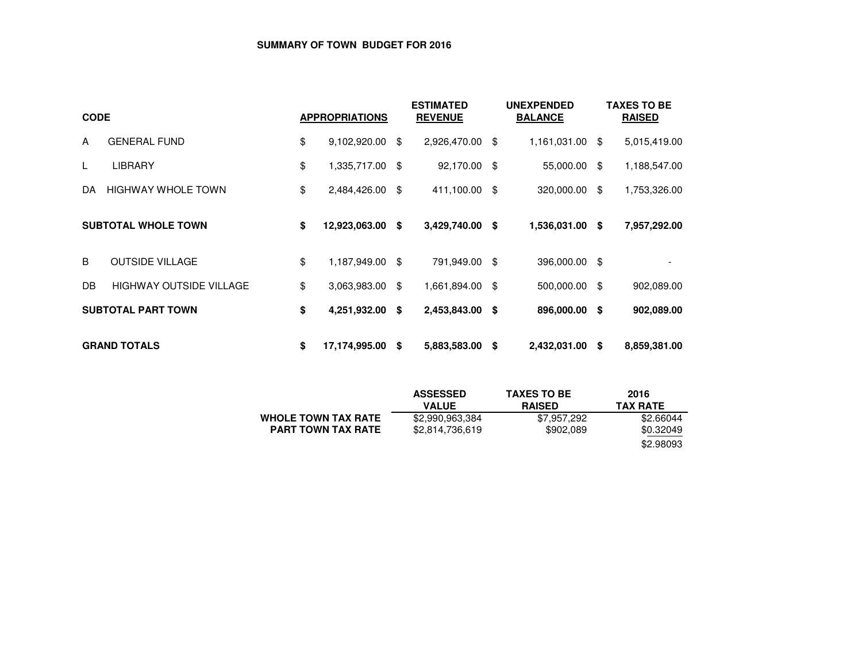# **SUMMARY OF TOWN BUDGET FOR 2016**

| <b>CODE</b> |                                |    | <b>APPROPRIATIONS</b> | <b>ESTIMATED</b><br><b>REVENUE</b> | <b>UNEXPENDED</b><br><b>BALANCE</b> |      | <b>TAXES TO BE</b><br><b>RAISED</b> |
|-------------|--------------------------------|----|-----------------------|------------------------------------|-------------------------------------|------|-------------------------------------|
| A           | <b>GENERAL FUND</b>            | \$ | 9,102,920.00          | \$<br>2,926,470.00 \$              | 1,161,031.00                        | - \$ | 5,015,419.00                        |
| L           | <b>LIBRARY</b>                 | \$ | 1,335,717.00          | \$<br>92,170.00 \$                 | 55,000.00                           | -\$  | 1,188,547.00                        |
| DA          | <b>HIGHWAY WHOLE TOWN</b>      | \$ | 2,484,426.00          | \$<br>411,100.00 \$                | 320,000.00                          | \$   | 1,753,326.00                        |
|             | <b>SUBTOTAL WHOLE TOWN</b>     | \$ | 12,923,063.00         | \$<br>3,429,740.00 \$              | 1,536,031.00                        | \$   | 7,957,292.00                        |
| B           | <b>OUTSIDE VILLAGE</b>         | \$ | 1,187,949.00          | \$<br>791,949.00 \$                | 396,000.00 \$                       |      |                                     |
| DB          | <b>HIGHWAY OUTSIDE VILLAGE</b> | \$ | 3,063,983.00          | \$<br>1,661,894.00 \$              | 500,000.00 \$                       |      | 902,089.00                          |
|             | <b>SUBTOTAL PART TOWN</b>      | \$ | 4,251,932.00          | \$<br>2,453,843.00 \$              | 896,000.00 \$                       |      | 902,089.00                          |
|             | <b>GRAND TOTALS</b>            | \$ | 17,174,995.00         | \$<br>5,883,583.00 \$              | 2,432,031.00                        | -\$  | 8,859,381.00                        |

|                            | <b>ASSESSED</b> | <b>TAXES TO BE</b> | 2016            |
|----------------------------|-----------------|--------------------|-----------------|
|                            | <b>VALUE</b>    | <b>RAISED</b>      | <b>TAX RATE</b> |
| <b>WHOLE TOWN TAX RATE</b> | \$2,990,963,384 | \$7,957,292        | \$2,66044       |
| <b>PART TOWN TAX RATE</b>  | \$2,814,736,619 | \$902.089          | \$0.32049       |
|                            |                 |                    | \$2,98093       |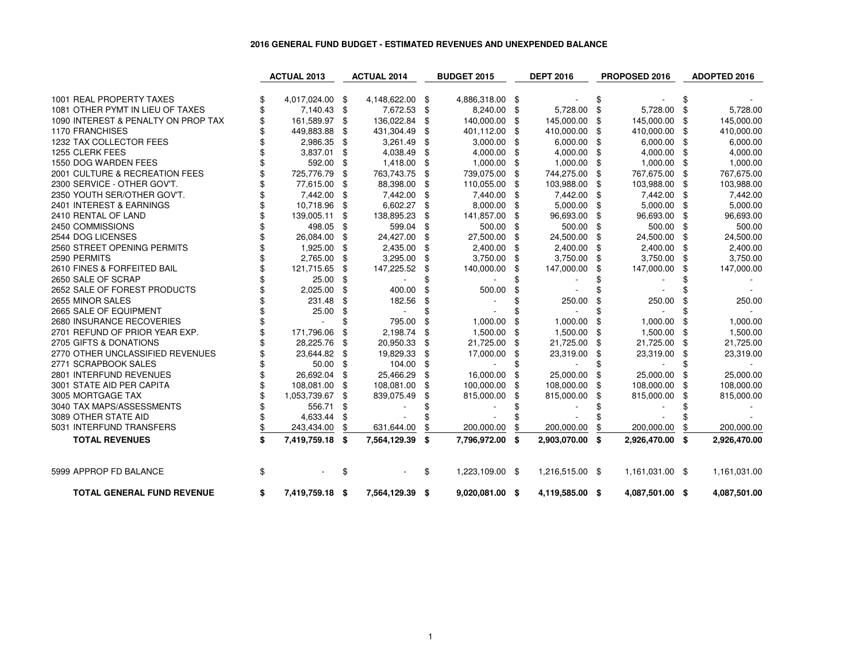## **2016 GENERAL FUND BUDGET - ESTIMATED REVENUES AND UNEXPENDED BALANCE**

|                                     | <b>ACTUAL 2013</b>    |      | <b>ACTUAL 2014</b> |     | <b>BUDGET 2015</b> |      | <b>DEPT 2016</b> |    | PROPOSED 2016   |      | ADOPTED 2016 |
|-------------------------------------|-----------------------|------|--------------------|-----|--------------------|------|------------------|----|-----------------|------|--------------|
|                                     |                       |      |                    |     |                    |      |                  |    |                 |      |              |
| 1001 REAL PROPERTY TAXES            | 4,017,024.00 \$       |      | 4,148,622.00 \$    |     | 4,886,318.00 \$    |      |                  | \$ |                 | \$   |              |
| 1081 OTHER PYMT IN LIEU OF TAXES    | 7,140.43 \$           |      | 7,672.53           | \$  | 8,240.00           | \$   | 5,728.00         | \$ | 5,728.00        | \$   | 5,728.00     |
| 1090 INTEREST & PENALTY ON PROP TAX | 161,589.97 \$         |      | 136,022.84         | \$  | 140,000.00 \$      |      | 145,000.00       | \$ | 145,000.00      | \$   | 145,000.00   |
| <b>1170 FRANCHISES</b>              | 449,883.88            | \$   | 431,304.49         | \$  | 401,112.00 \$      |      | 410,000.00       | \$ | 410,000.00      | \$   | 410,000.00   |
| 1232 TAX COLLECTOR FEES             | 2,986.35              | \$   | 3,261.49           | \$  | 3,000.00           | \$   | 6,000.00         | \$ | 6,000.00        | \$   | 6,000.00     |
| 1255 CLERK FEES                     | 3,837.01              | \$   | 4,038.49           | \$  | 4,000.00           | \$   | 4,000.00         | \$ | 4,000.00        | \$   | 4,000.00     |
| 1550 DOG WARDEN FEES                | 592.00                | \$   | 1,418.00           | \$  | 1,000.00           | \$   | 1,000.00         | \$ | 1,000.00        | \$   | 1,000.00     |
| 2001 CULTURE & RECREATION FEES      | 725,776.79            | \$   | 763,743.75         | \$  | 739,075.00         | \$   | 744,275.00       | \$ | 767,675.00      | \$   | 767,675.00   |
| 2300 SERVICE - OTHER GOV'T.         | 77,615.00             | \$   | 88,398.00          | \$  | 110,055.00         | \$   | 103,988.00       | \$ | 103,988.00      | \$   | 103,988.00   |
| 2350 YOUTH SER/OTHER GOV'T.         | 7,442.00              | \$   | 7,442.00           | \$  | 7,440.00 \$        |      | 7,442.00         | \$ | 7,442.00        | \$   | 7,442.00     |
| 2401 INTEREST & EARNINGS            | 10,718.96             | \$   | 6,602.27           | \$  | 8,000.00           | \$   | 5,000.00         | \$ | 5,000.00        | \$   | 5,000.00     |
| 2410 RENTAL OF LAND                 | 139,005.11            | \$   | 138,895.23         | \$  | 141,857.00         | \$   | 96,693.00        | \$ | 96,693.00       | \$   | 96,693.00    |
| 2450 COMMISSIONS                    | 498.05                | \$   | 599.04             | \$  | 500.00             | \$   | 500.00           | \$ | 500.00          | \$   | 500.00       |
| 2544 DOG LICENSES                   | 26,084.00             | \$   | 24,427.00          | \$  | 27,500.00          | \$   | 24,500.00        | \$ | 24,500.00       | \$   | 24,500.00    |
| 2560 STREET OPENING PERMITS         | 1,925.00              | \$   | 2,435.00           | -\$ | 2,400.00           | \$   | 2,400.00         | \$ | 2,400.00        | \$   | 2,400.00     |
| 2590 PERMITS                        | 2,765.00              | \$   | 3,295.00           | \$  | 3,750.00           | \$   | 3,750.00         | \$ | 3,750.00        | \$   | 3,750.00     |
| 2610 FINES & FORFEITED BAIL         | 121,715.65            | \$   | 147,225.52         | \$  | 140,000.00         | \$   | 147,000.00       | \$ | 147,000.00      | \$   | 147,000.00   |
| 2650 SALE OF SCRAP                  | 25.00                 | \$   |                    | \$  |                    |      |                  |    |                 |      |              |
| 2652 SALE OF FOREST PRODUCTS        | 2,025.00              |      | 400.00             |     | 500.00             |      |                  |    |                 |      |              |
| 2655 MINOR SALES                    | 231.48                | \$   | 182.56             | \$  |                    |      | 250.00           | \$ | 250.00          |      | 250.00       |
| 2665 SALE OF EQUIPMENT              | 25.00                 | \$   | $\sim$             | \$  |                    |      |                  |    |                 |      |              |
| 2680 INSURANCE RECOVERIES           |                       |      | 795.00             | \$  | 1,000.00           |      | 1,000.00         | \$ | 1,000.00        |      | 1,000.00     |
| 2701 REFUND OF PRIOR YEAR EXP.      | 171,796.06            | \$   | 2,198.74           | \$  | 1,500.00           | \$   | 1,500.00         | \$ | 1,500.00        | \$   | 1,500.00     |
| 2705 GIFTS & DONATIONS              | 28,225.76             | \$   | 20,950.33          | \$  | 21,725.00          | \$   | 21,725.00        | \$ | 21,725.00       | \$   | 21,725.00    |
| 2770 OTHER UNCLASSIFIED REVENUES    | 23,644.82             | \$   | 19,829.33          | \$  | 17,000.00          | \$   | 23,319.00        | \$ | 23,319.00       | \$   | 23,319.00    |
| 2771 SCRAPBOOK SALES                | 50.00                 | \$   | 104.00             | \$  |                    |      |                  | S  |                 |      |              |
| 2801 INTERFUND REVENUES             | 26,692.04             | \$   | 25,466.29          | \$  | 16,000.00          |      | 25,000.00        | \$ | 25,000.00       | \$   | 25,000.00    |
| 3001 STATE AID PER CAPITA           | 108,081.00            | \$   | 108,081.00         | \$  | 100,000.00         |      | 108,000.00       | \$ | 108,000.00      |      | 108,000.00   |
| 3005 MORTGAGE TAX                   | 1,053,739.67          | \$   | 839,075.49         | \$  | 815,000.00         |      | 815,000.00       | \$ | 815,000.00      | \$   | 815,000.00   |
| 3040 TAX MAPS/ASSESSMENTS           | 556.71                | \$   |                    |     |                    |      |                  |    |                 |      |              |
| 3089 OTHER STATE AID                | 4,633.44              | S    |                    |     |                    |      |                  |    |                 |      |              |
| 5031 INTERFUND TRANSFERS            | 243,434.00            | \$   | 631,644.00         | \$  | 200,000.00         |      | 200,000.00       | \$ | 200,000.00      | \$   | 200,000.00   |
| <b>TOTAL REVENUES</b>               | \$<br>7,419,759.18    | - \$ | 7,564,129.39       | \$  | 7,796,972.00       | - \$ | 2,903,070.00     | \$ | 2,926,470.00    | - \$ | 2,926,470.00 |
| 5999 APPROP FD BALANCE              | \$                    | \$   |                    | \$  | 1,223,109.00 \$    |      | 1,216,515.00 \$  |    | 1,161,031.00 \$ |      | 1,161,031.00 |
| <b>TOTAL GENERAL FUND REVENUE</b>   | \$<br>7,419,759.18 \$ |      | 7,564,129.39 \$    |     | 9,020,081.00 \$    |      | 4,119,585.00 \$  |    | 4,087,501.00 \$ |      | 4,087,501.00 |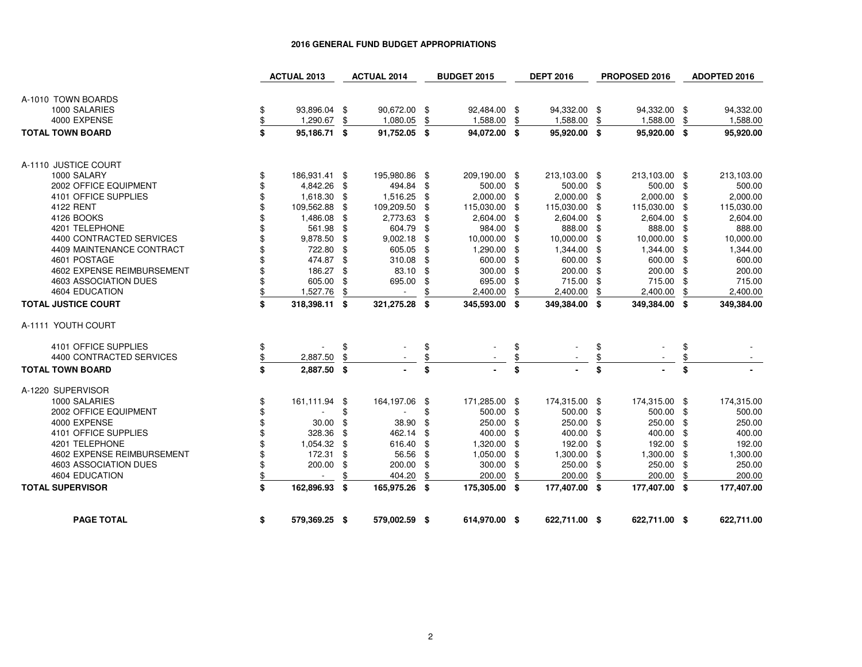|                                |                    | <b>ACTUAL 2014</b>                                                                                                                                                                                                                                                                                                                                           |        | <b>BUDGET 2015</b>                                                                                                                                            |               | <b>DEPT 2016</b>                                                                                                                                                                              |                                |                                                                                                                                                                              |               | ADOPTED 2016                                                                                                                                                                                                                                                                                                                                             |
|--------------------------------|--------------------|--------------------------------------------------------------------------------------------------------------------------------------------------------------------------------------------------------------------------------------------------------------------------------------------------------------------------------------------------------------|--------|---------------------------------------------------------------------------------------------------------------------------------------------------------------|---------------|-----------------------------------------------------------------------------------------------------------------------------------------------------------------------------------------------|--------------------------------|------------------------------------------------------------------------------------------------------------------------------------------------------------------------------|---------------|----------------------------------------------------------------------------------------------------------------------------------------------------------------------------------------------------------------------------------------------------------------------------------------------------------------------------------------------------------|
|                                |                    |                                                                                                                                                                                                                                                                                                                                                              |        |                                                                                                                                                               |               |                                                                                                                                                                                               |                                |                                                                                                                                                                              |               |                                                                                                                                                                                                                                                                                                                                                          |
|                                |                    |                                                                                                                                                                                                                                                                                                                                                              |        |                                                                                                                                                               |               |                                                                                                                                                                                               |                                |                                                                                                                                                                              |               |                                                                                                                                                                                                                                                                                                                                                          |
| \$                             |                    |                                                                                                                                                                                                                                                                                                                                                              |        |                                                                                                                                                               |               |                                                                                                                                                                                               |                                |                                                                                                                                                                              |               | 94,332.00                                                                                                                                                                                                                                                                                                                                                |
|                                | \$                 | 1,080.05                                                                                                                                                                                                                                                                                                                                                     | \$     |                                                                                                                                                               | \$            |                                                                                                                                                                                               | \$                             |                                                                                                                                                                              | \$            | 1,588.00                                                                                                                                                                                                                                                                                                                                                 |
|                                |                    |                                                                                                                                                                                                                                                                                                                                                              |        |                                                                                                                                                               |               |                                                                                                                                                                                               |                                |                                                                                                                                                                              |               | 95,920.00                                                                                                                                                                                                                                                                                                                                                |
|                                |                    |                                                                                                                                                                                                                                                                                                                                                              |        |                                                                                                                                                               |               |                                                                                                                                                                                               |                                |                                                                                                                                                                              |               |                                                                                                                                                                                                                                                                                                                                                          |
|                                |                    |                                                                                                                                                                                                                                                                                                                                                              |        |                                                                                                                                                               |               |                                                                                                                                                                                               |                                |                                                                                                                                                                              |               |                                                                                                                                                                                                                                                                                                                                                          |
| \$                             |                    |                                                                                                                                                                                                                                                                                                                                                              |        |                                                                                                                                                               |               |                                                                                                                                                                                               |                                |                                                                                                                                                                              |               | 213,103.00                                                                                                                                                                                                                                                                                                                                               |
|                                |                    |                                                                                                                                                                                                                                                                                                                                                              |        |                                                                                                                                                               |               |                                                                                                                                                                                               | \$                             |                                                                                                                                                                              |               | 500.00                                                                                                                                                                                                                                                                                                                                                   |
| \$                             |                    |                                                                                                                                                                                                                                                                                                                                                              | \$     |                                                                                                                                                               | \$            |                                                                                                                                                                                               | \$                             |                                                                                                                                                                              |               | 2,000.00                                                                                                                                                                                                                                                                                                                                                 |
| \$                             |                    | 109,209.50                                                                                                                                                                                                                                                                                                                                                   | \$     |                                                                                                                                                               | \$            |                                                                                                                                                                                               | -\$                            |                                                                                                                                                                              |               | 115,030.00                                                                                                                                                                                                                                                                                                                                               |
|                                |                    |                                                                                                                                                                                                                                                                                                                                                              | \$     |                                                                                                                                                               | \$            |                                                                                                                                                                                               | -\$                            |                                                                                                                                                                              |               | 2,604.00                                                                                                                                                                                                                                                                                                                                                 |
|                                |                    | 604.79                                                                                                                                                                                                                                                                                                                                                       | \$     | 984.00                                                                                                                                                        | \$            | 888.00                                                                                                                                                                                        | \$                             |                                                                                                                                                                              |               | 888.00                                                                                                                                                                                                                                                                                                                                                   |
| \$                             |                    | 9,002.18                                                                                                                                                                                                                                                                                                                                                     | \$     | 10,000.00                                                                                                                                                     | \$            | 10,000.00                                                                                                                                                                                     | \$                             |                                                                                                                                                                              | \$            | 10,000.00                                                                                                                                                                                                                                                                                                                                                |
|                                | - \$               | 605.05                                                                                                                                                                                                                                                                                                                                                       | \$     |                                                                                                                                                               | \$            | 1,344.00                                                                                                                                                                                      | \$                             |                                                                                                                                                                              | \$            | 1,344.00                                                                                                                                                                                                                                                                                                                                                 |
|                                |                    | 310.08                                                                                                                                                                                                                                                                                                                                                       | \$     | 600.00                                                                                                                                                        | \$            |                                                                                                                                                                                               | \$                             |                                                                                                                                                                              |               | 600.00                                                                                                                                                                                                                                                                                                                                                   |
|                                |                    | 83.10                                                                                                                                                                                                                                                                                                                                                        | \$     | 300.00                                                                                                                                                        | \$            | 200.00                                                                                                                                                                                        | \$                             |                                                                                                                                                                              |               | 200.00                                                                                                                                                                                                                                                                                                                                                   |
| \$                             |                    |                                                                                                                                                                                                                                                                                                                                                              | \$     | 695.00                                                                                                                                                        | \$            | 715.00                                                                                                                                                                                        | \$                             |                                                                                                                                                                              |               | 715.00                                                                                                                                                                                                                                                                                                                                                   |
| 1,527.76                       | \$                 |                                                                                                                                                                                                                                                                                                                                                              | \$     | 2,400.00                                                                                                                                                      | \$            | 2,400.00                                                                                                                                                                                      | \$                             | 2,400.00                                                                                                                                                                     | \$            | 2,400.00                                                                                                                                                                                                                                                                                                                                                 |
| \$                             |                    |                                                                                                                                                                                                                                                                                                                                                              | Ŝ.     |                                                                                                                                                               |               |                                                                                                                                                                                               |                                |                                                                                                                                                                              |               | 349,384.00                                                                                                                                                                                                                                                                                                                                               |
|                                |                    |                                                                                                                                                                                                                                                                                                                                                              |        |                                                                                                                                                               |               |                                                                                                                                                                                               |                                |                                                                                                                                                                              |               |                                                                                                                                                                                                                                                                                                                                                          |
| \$                             | \$                 |                                                                                                                                                                                                                                                                                                                                                              | \$     |                                                                                                                                                               | \$            |                                                                                                                                                                                               | \$                             |                                                                                                                                                                              | \$            |                                                                                                                                                                                                                                                                                                                                                          |
| \$                             | \$                 |                                                                                                                                                                                                                                                                                                                                                              | \$     |                                                                                                                                                               | $\frac{1}{2}$ |                                                                                                                                                                                               | \$                             |                                                                                                                                                                              |               |                                                                                                                                                                                                                                                                                                                                                          |
| \$                             |                    |                                                                                                                                                                                                                                                                                                                                                              | \$     |                                                                                                                                                               | \$            |                                                                                                                                                                                               | \$                             |                                                                                                                                                                              | \$            |                                                                                                                                                                                                                                                                                                                                                          |
|                                |                    |                                                                                                                                                                                                                                                                                                                                                              |        |                                                                                                                                                               |               |                                                                                                                                                                                               |                                |                                                                                                                                                                              |               |                                                                                                                                                                                                                                                                                                                                                          |
| \$                             |                    |                                                                                                                                                                                                                                                                                                                                                              |        |                                                                                                                                                               |               |                                                                                                                                                                                               |                                |                                                                                                                                                                              |               | 174,315.00                                                                                                                                                                                                                                                                                                                                               |
| $\blacksquare$                 | \$                 |                                                                                                                                                                                                                                                                                                                                                              | \$     |                                                                                                                                                               |               |                                                                                                                                                                                               |                                |                                                                                                                                                                              |               | 500.00                                                                                                                                                                                                                                                                                                                                                   |
| \$                             | -\$                | 38.90                                                                                                                                                                                                                                                                                                                                                        | \$     | 250.00                                                                                                                                                        | \$            | 250.00                                                                                                                                                                                        | \$                             |                                                                                                                                                                              |               | 250.00                                                                                                                                                                                                                                                                                                                                                   |
|                                | - \$               |                                                                                                                                                                                                                                                                                                                                                              | \$     | 400.00                                                                                                                                                        | \$            | 400.00                                                                                                                                                                                        | \$.                            |                                                                                                                                                                              |               | 400.00                                                                                                                                                                                                                                                                                                                                                   |
|                                |                    | 616.40                                                                                                                                                                                                                                                                                                                                                       | \$     | 1,320.00                                                                                                                                                      | \$            |                                                                                                                                                                                               | -\$                            |                                                                                                                                                                              |               | 192.00                                                                                                                                                                                                                                                                                                                                                   |
|                                |                    | 56.56                                                                                                                                                                                                                                                                                                                                                        | \$     | 1,050.00                                                                                                                                                      | \$            | 1,300.00                                                                                                                                                                                      | \$                             |                                                                                                                                                                              |               | 1,300.00                                                                                                                                                                                                                                                                                                                                                 |
| \$                             | \$                 | 200.00                                                                                                                                                                                                                                                                                                                                                       | \$     | 300.00                                                                                                                                                        | \$            | 250.00                                                                                                                                                                                        | \$                             |                                                                                                                                                                              |               | 250.00                                                                                                                                                                                                                                                                                                                                                   |
| \$<br>$\overline{\phantom{a}}$ | \$                 | 404.20                                                                                                                                                                                                                                                                                                                                                       | \$     | 200.00                                                                                                                                                        | \$            | 200.00                                                                                                                                                                                        | \$                             | 200.00                                                                                                                                                                       | S             | 200.00                                                                                                                                                                                                                                                                                                                                                   |
| \$                             |                    |                                                                                                                                                                                                                                                                                                                                                              |        |                                                                                                                                                               |               |                                                                                                                                                                                               |                                |                                                                                                                                                                              |               | 177,407.00                                                                                                                                                                                                                                                                                                                                               |
| \$                             |                    |                                                                                                                                                                                                                                                                                                                                                              |        |                                                                                                                                                               |               |                                                                                                                                                                                               |                                |                                                                                                                                                                              |               | 622,711.00                                                                                                                                                                                                                                                                                                                                               |
| $\underline{\$}$<br>\$<br>\$   | <b>ACTUAL 2013</b> | 93,896.04 \$<br>1,290.67<br>95,186.71 \$<br>186,931.41 \$<br>4,842.26 \$<br>1,618.30 \$<br>109,562.88 \$<br>1,486.08 \$<br>561.98 \$<br>9,878.50 \$<br>722.80<br>474.87 \$<br>186.27 \$<br>605.00 \$<br>318,398.11 \$<br>2,887.50<br>2,887.50 \$<br>161,111.94 \$<br>30.00<br>328.36<br>1,054.32 \$<br>172.31 \$<br>200.00<br>162,896.93 \$<br>579,369.25 \$ | 695.00 | 90,672.00 \$<br>91,752.05 \$<br>195,980.86 \$<br>494.84 \$<br>1,516.25<br>2,773.63<br>321,275.28<br>164,197.06 \$<br>462.14<br>165,975.26 \$<br>579,002.59 \$ | 1,588.00      | 92,484.00 \$<br>94,072.00 \$<br>209,190.00 \$<br>500.00 \$<br>2,000.00<br>115,030.00<br>2,604.00<br>1,290.00<br>345,593.00 \$<br>171,285.00 \$<br>500.00 \$<br>175,305.00 \$<br>614,970.00 \$ | 1,588.00<br>2,000.00<br>600.00 | 94,332.00 \$<br>95,920.00 \$<br>213,103.00 \$<br>500.00<br>115,030.00<br>2,604.00<br>349,384.00 \$<br>174,315.00 \$<br>500.00 \$<br>192.00<br>177,407.00 \$<br>622,711.00 \$ | PROPOSED 2016 | 94,332.00 \$<br>1,588.00<br>95,920.00 \$<br>213,103.00 \$<br>500.00 \$<br>$2,000.00$ \$<br>115,030.00 \$<br>2,604.00 \$<br>888.00 \$<br>10,000.00<br>1,344.00<br>600.00 \$<br>200.00 \$<br>715.00 \$<br>349,384.00 \$<br>174,315.00 \$<br>500.00 \$<br>250.00 \$<br>400.00 \$<br>192.00 \$<br>1,300.00 \$<br>250.00 \$<br>177,407.00 \$<br>622,711.00 \$ |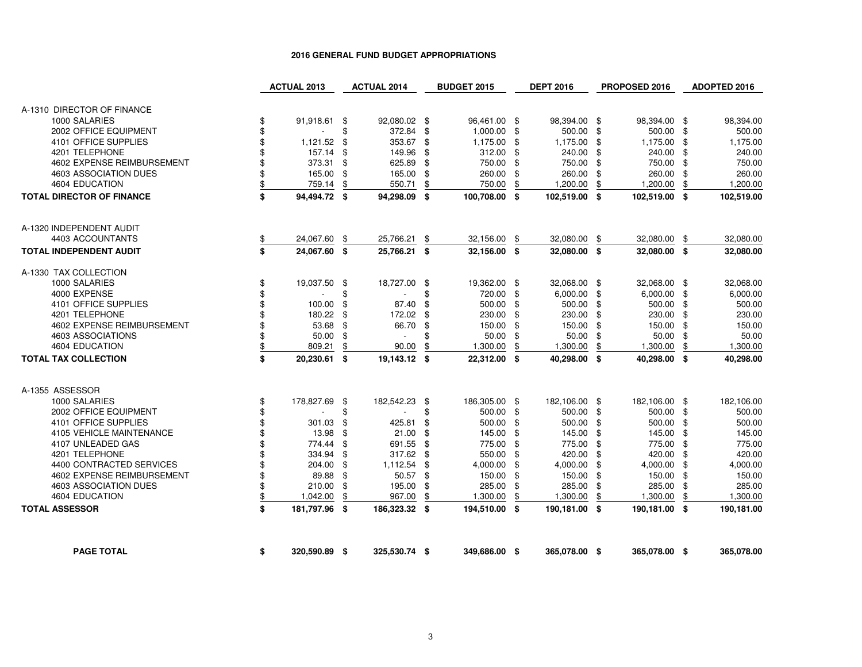|                                  | <b>ACTUAL 2013</b>  | <b>ACTUAL 2014</b> |      | <b>BUDGET 2015</b> |      | <b>DEPT 2016</b> |      | PROPOSED 2016 |     | ADOPTED 2016 |
|----------------------------------|---------------------|--------------------|------|--------------------|------|------------------|------|---------------|-----|--------------|
| A-1310 DIRECTOR OF FINANCE       |                     |                    |      |                    |      |                  |      |               |     |              |
| 1000 SALARIES                    | \$<br>91,918.61 \$  | 92,080.02 \$       |      | 96,461.00 \$       |      | 98,394.00 \$     |      | 98,394.00 \$  |     | 98,394.00    |
| 2002 OFFICE EQUIPMENT            | \$                  | \$<br>372.84       | \$   | 1,000.00 \$        |      | 500.00           | \$   | 500.00        | \$  | 500.00       |
| 4101 OFFICE SUPPLIES             | \$<br>1,121.52      | \$<br>353.67 \$    |      | 1,175.00 \$        |      | 1,175.00         | \$   | 1,175.00 \$   |     | 1,175.00     |
| 4201 TELEPHONE                   | $157.14$ \$         | 149.96             | \$   | 312.00 \$          |      | 240.00           | -\$  | 240.00        | -\$ | 240.00       |
| 4602 EXPENSE REIMBURSEMENT       | \$<br>373.31 \$     | 625.89             | \$   | 750.00 \$          |      | 750.00           | \$   | 750.00        | -\$ | 750.00       |
| 4603 ASSOCIATION DUES            | \$<br>165.00 \$     | 165.00 \$          |      | 260.00             | \$   | 260.00           | \$   | 260.00 \$     |     | 260.00       |
| 4604 EDUCATION                   | \$<br>759.14        | \$<br>550.71       | \$   | 750.00             | \$   | 1,200.00         | \$   | 1,200.00      | \$  | 1,200.00     |
| <b>TOTAL DIRECTOR OF FINANCE</b> | \$<br>94,494.72 \$  | 94,298.09 \$       |      | 100,708.00 \$      |      | 102,519.00 \$    |      | 102,519.00 \$ |     | 102,519.00   |
|                                  |                     |                    |      |                    |      |                  |      |               |     |              |
| A-1320 INDEPENDENT AUDIT         |                     |                    |      |                    |      |                  |      |               |     |              |
| 4403 ACCOUNTANTS                 | \$<br>24,067.60     | \$<br>25,766.21    | \$   | 32,156.00          | - \$ | 32,080.00        | \$   | 32,080.00     | \$  | 32,080.00    |
| <b>TOTAL INDEPENDENT AUDIT</b>   | \$<br>24,067.60 \$  | 25,766.21 \$       |      | 32.156.00 \$       |      | 32,080.00        | \$   | 32,080.00 \$  |     | 32,080.00    |
| A-1330 TAX COLLECTION            |                     |                    |      |                    |      |                  |      |               |     |              |
| 1000 SALARIES                    | \$<br>19,037.50 \$  | 18,727.00 \$       |      | 19,362.00 \$       |      | 32,068.00 \$     |      | 32,068.00 \$  |     | 32,068.00    |
| 4000 EXPENSE                     | \$                  | \$                 | \$   | 720.00 \$          |      | 6,000.00 \$      |      | 6,000.00 \$   |     | 6,000.00     |
| 4101 OFFICE SUPPLIES             | \$<br>100.00        | \$<br>87.40        | \$   | 500.00 \$          |      | 500.00           | -\$  | 500.00 \$     |     | 500.00       |
| 4201 TELEPHONE                   | \$<br>180.22 \$     | 172.02             | \$   | 230.00             | \$   | 230.00           | \$   | 230.00        | \$  | 230.00       |
| 4602 EXPENSE REIMBURSEMENT       | \$<br>53.68 \$      | 66.70              | -\$  | 150.00 \$          |      | 150.00           | \$   | 150.00 \$     |     | 150.00       |
| 4603 ASSOCIATIONS                | \$<br>50.00         | \$<br>$\mathbf{r}$ | \$   | 50.00              | \$   | 50.00            | \$   | 50.00         | \$  | 50.00        |
| 4604 EDUCATION                   | \$<br>809.21        | \$<br>90.00        | \$   | 1,300.00           | \$   | 1,300.00         | \$   | 1,300.00      | \$  | 1,300.00     |
| <b>TOTAL TAX COLLECTION</b>      | \$<br>20,230.61 \$  | 19,143.12 \$       |      | 22,312.00 \$       |      | 40,298.00        | -\$  | 40,298.00 \$  |     | 40,298.00    |
| A-1355 ASSESSOR                  |                     |                    |      |                    |      |                  |      |               |     |              |
| 1000 SALARIES                    | \$<br>178,827.69 \$ | 182,542.23 \$      |      | 186,305.00 \$      |      | 182,106.00 \$    |      | 182,106.00 \$ |     | 182,106.00   |
| 2002 OFFICE EQUIPMENT            | \$                  | \$                 | \$   | 500.00 \$          |      | 500.00           | \$   | 500.00 \$     |     | 500.00       |
| 4101 OFFICE SUPPLIES             | \$<br>301.03        | \$<br>425.81       | \$   | 500.00 \$          |      | 500.00           | \$   | 500.00 \$     |     | 500.00       |
| 4105 VEHICLE MAINTENANCE         | \$<br>13.98 \$      | 21.00              | -\$  | 145.00 \$          |      | 145.00           | -\$  | 145.00 \$     |     | 145.00       |
| 4107 UNLEADED GAS                | \$<br>774.44 \$     | 691.55             | \$   | 775.00             | \$   | 775.00           | \$   | 775.00        | \$  | 775.00       |
| 4201 TELEPHONE                   | \$<br>334.94 \$     | 317.62             | \$   | 550.00             | -\$  | 420.00           | -\$  | 420.00 \$     |     | 420.00       |
| 4400 CONTRACTED SERVICES         | \$<br>204.00 \$     | 1,112.54           | -\$  | 4,000.00 \$        |      | 4,000.00         | \$   | 4,000.00      | \$  | 4,000.00     |
| 4602 EXPENSE REIMBURSEMENT       | \$<br>89.88 \$      | 50.57              | - \$ | 150.00             | \$   | 150.00           | \$   | 150.00 \$     |     | 150.00       |
| 4603 ASSOCIATION DUES            | \$<br>210.00 \$     | 195.00             | -\$  | 285.00             | -\$  | 285.00           | \$   | 285.00        | \$  | 285.00       |
| 4604 EDUCATION                   | \$<br>1,042.00      | \$<br>967.00       | \$   | 1,300.00           | \$   | 1,300.00         | \$   | 1,300.00      | \$  | 1,300.00     |
| <b>TOTAL ASSESSOR</b>            | \$<br>181,797.96 \$ | 186,323.32 \$      |      | 194,510.00 \$      |      | 190,181.00       | - \$ | 190,181.00 \$ |     | 190,181.00   |
|                                  |                     |                    |      |                    |      |                  |      |               |     |              |
| <b>PAGE TOTAL</b>                | \$<br>320,590.89 \$ | 325,530.74 \$      |      | 349,686.00 \$      |      | 365,078.00 \$    |      | 365,078.00 \$ |     | 365,078.00   |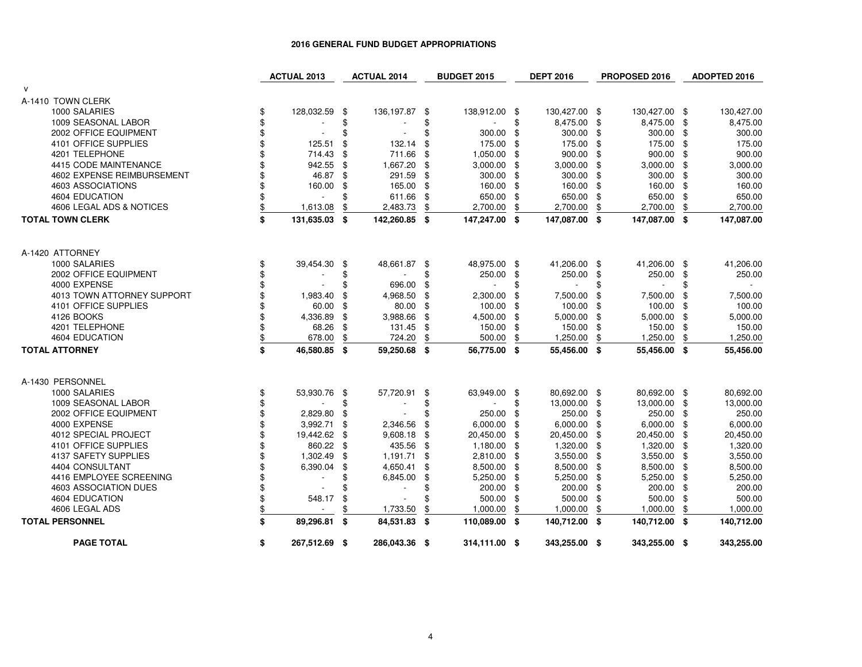|                            |                  | <b>ACTUAL 2013</b> |      | <b>ACTUAL 2014</b> |     | <b>BUDGET 2015</b> | <b>DEPT 2016</b> |     | PROPOSED 2016 |      | ADOPTED 2016 |
|----------------------------|------------------|--------------------|------|--------------------|-----|--------------------|------------------|-----|---------------|------|--------------|
| V                          |                  |                    |      |                    |     |                    |                  |     |               |      |              |
| A-1410 TOWN CLERK          |                  |                    |      |                    |     |                    |                  |     |               |      |              |
| 1000 SALARIES              | \$               | 128,032.59         | \$   | 136,197.87 \$      |     | 138,912.00 \$      | 130,427.00 \$    |     | 130,427.00 \$ |      | 130,427.00   |
| 1009 SEASONAL LABOR        | \$               |                    | \$   |                    | \$  |                    | \$<br>8,475.00   | \$  | 8,475.00 \$   |      | 8,475.00     |
| 2002 OFFICE EQUIPMENT      | \$               |                    | \$   |                    | \$  | 300.00             | \$<br>300.00     | \$  | 300.00 \$     |      | 300.00       |
| 4101 OFFICE SUPPLIES       | \$               | 125.51             | \$   | 132.14             | \$  | 175.00             | \$<br>175.00     | \$  | 175.00        | \$   | 175.00       |
| 4201 TELEPHONE             | \$               | 714.43             | \$   | 711.66             | \$  | 1,050.00           | \$<br>900.00     | \$. | 900.00        | \$   | 900.00       |
| 4415 CODE MAINTENANCE      | \$               | 942.55             | \$   | 1,667.20           | \$  | 3,000.00           | \$<br>3,000.00   | \$  | $3,000.00$ \$ |      | 3,000.00     |
| 4602 EXPENSE REIMBURSEMENT | \$               | 46.87              | \$   | 291.59             | \$  | 300.00             | \$<br>300.00     | \$  | 300.00        | -\$  | 300.00       |
| 4603 ASSOCIATIONS          | \$               | 160.00             | \$   | 165.00             | \$  | 160.00             | \$<br>160.00     | \$. | 160.00        | -\$  | 160.00       |
| 4604 EDUCATION             | \$               |                    |      | 611.66             | \$  | 650.00             | \$<br>650.00     | \$  | 650.00        | \$   | 650.00       |
| 4606 LEGAL ADS & NOTICES   | \$               | 1,613.08           | \$   | 2,483.73           | \$  | 2,700.00           | \$<br>2,700.00   | \$  | 2,700.00      | \$   | 2,700.00     |
| <b>TOTAL TOWN CLERK</b>    | \$               | 131,635.03         | - \$ | 142,260.85 \$      |     | 147,247.00 \$      | 147,087.00 \$    |     | 147,087.00 \$ |      | 147,087.00   |
|                            |                  |                    |      |                    |     |                    |                  |     |               |      |              |
| A-1420 ATTORNEY            |                  |                    |      |                    |     |                    |                  |     |               |      |              |
| 1000 SALARIES              | \$               | 39,454.30          | -\$  | 48,661.87 \$       |     | 48,975.00 \$       | 41,206.00 \$     |     | 41,206.00 \$  |      | 41,206.00    |
| 2002 OFFICE EQUIPMENT      | \$               |                    | \$   |                    | \$  | 250.00             | \$<br>250.00     | \$  | 250.00 \$     |      | 250.00       |
| 4000 EXPENSE               | \$               | $\sim$             | \$   | 696.00             | \$  |                    | \$               | \$  |               | \$   | $\sim$       |
| 4013 TOWN ATTORNEY SUPPORT | \$               | 1,983.40           | \$   | 4,968.50           | \$  | 2,300.00           | \$<br>7,500.00   | \$  | 7,500.00      | \$.  | 7,500.00     |
| 4101 OFFICE SUPPLIES       | \$               | 60.00              | \$   | 80.00              | \$  | 100.00             | \$<br>100.00     | \$  | 100.00 \$     |      | 100.00       |
| 4126 BOOKS                 | \$               | 4,336.89           | \$   | 3,988.66           | \$  | 4,500.00           | \$<br>5,000.00   | \$  | 5,000.00 \$   |      | 5,000.00     |
| 4201 TELEPHONE             | \$               | 68.26              | \$   | 131.45             | -\$ | 150.00             | \$<br>150.00     | S   | 150.00 \$     |      | 150.00       |
| 4604 EDUCATION             | $\underline{\$}$ | 678.00             | \$   | 724.20             | \$  | 500.00             | \$<br>1,250.00   | \$  | 1,250.00      | \$   | 1,250.00     |
| <b>TOTAL ATTORNEY</b>      | \$               | 46,580.85 \$       |      | 59,250.68 \$       |     | 56,775.00 \$       | 55,456.00 \$     |     | 55,456.00 \$  |      | 55,456.00    |
| A-1430 PERSONNEL           |                  |                    |      |                    |     |                    |                  |     |               |      |              |
| 1000 SALARIES              | \$               | 53,930.76 \$       |      | 57,720.91          | \$  | 63,949.00 \$       | 80,692.00 \$     |     | 80,692.00 \$  |      | 80,692.00    |
| 1009 SEASONAL LABOR        | \$               |                    | \$   |                    | \$  |                    | \$<br>13,000.00  | \$  | 13,000.00 \$  |      | 13,000.00    |
| 2002 OFFICE EQUIPMENT      | \$               | 2,829.80           | \$   |                    | \$  | 250.00             | \$<br>250.00     | \$  | 250.00        | - \$ | 250.00       |
| 4000 EXPENSE               | \$               | 3,992.71           | \$   | 2,346.56           | \$  | 6,000.00           | \$<br>6,000.00   | \$  | 6,000.00      | \$   | 6,000.00     |
| 4012 SPECIAL PROJECT       | \$               | 19,442.62          | \$   | 9,608.18           | \$  | 20,450.00          | \$<br>20,450.00  | \$  | 20,450.00 \$  |      | 20,450.00    |
| 4101 OFFICE SUPPLIES       | \$               | 860.22             | -\$  | 435.56             | \$  | 1,180.00           | \$<br>1,320.00   | \$  | 1,320.00      | -\$  | 1,320.00     |
| 4137 SAFETY SUPPLIES       | \$               | 1,302.49           | \$   | 1,191.71           | \$  | 2,810.00           | \$<br>3,550.00   | \$  | 3,550.00      | \$   | 3,550.00     |
| 4404 CONSULTANT            | \$               | 6,390.04           | \$   | 4,650.41           | \$  | 8,500.00           | \$<br>8,500.00   | \$  | 8,500.00      | \$   | 8,500.00     |
| 4416 EMPLOYEE SCREENING    | \$               | $\sim$             | \$   | 6,845.00           | \$  | 5,250.00           | \$<br>5,250.00   | \$  | 5,250.00 \$   |      | 5,250.00     |
| 4603 ASSOCIATION DUES      | \$               |                    | \$   |                    | \$  | 200.00             | \$<br>200.00     | \$  | 200.00 \$     |      | 200.00       |
| 4604 EDUCATION             | \$               | 548.17             | \$   |                    | \$  | 500.00             | \$<br>500.00     | \$  | 500.00        | \$   | 500.00       |
| 4606 LEGAL ADS             | \$               | $\sim$             |      | 1,733.50           | \$  | 1,000.00           | \$<br>1,000.00   | \$  | 1,000.00      | \$   | 1,000.00     |
| <b>TOTAL PERSONNEL</b>     | \$               | 89,296.81 \$       |      | 84,531.83 \$       |     | 110,089.00 \$      | 140,712.00 \$    |     | 140,712.00 \$ |      | 140,712.00   |
| <b>PAGE TOTAL</b>          | \$               | 267,512.69 \$      |      | 286,043.36 \$      |     | 314,111.00 \$      | 343,255.00 \$    |     | 343,255.00 \$ |      | 343,255.00   |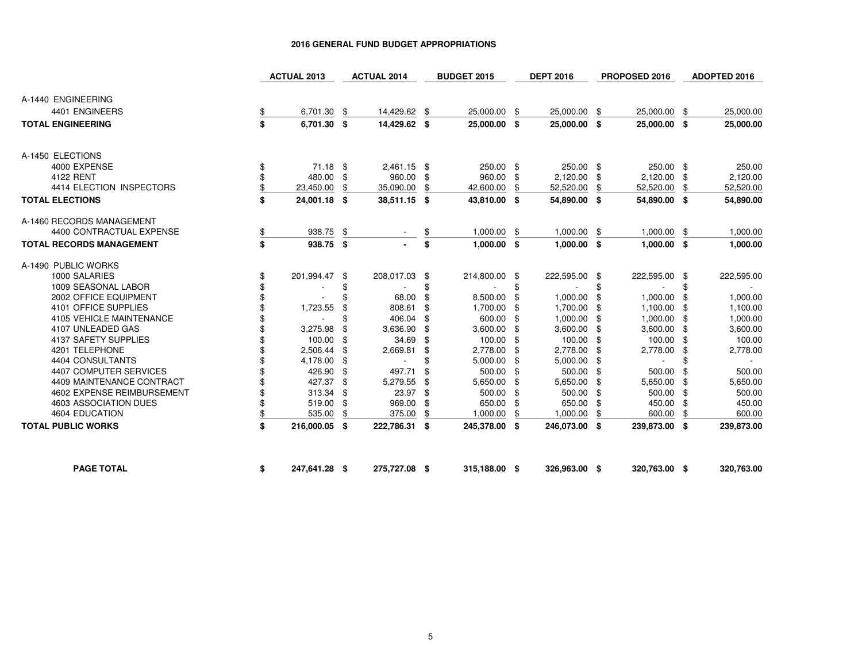|                                 | <b>ACTUAL 2013</b>  |      | <b>ACTUAL 2014</b> |      | <b>BUDGET 2015</b> |      | <b>DEPT 2016</b> |      | PROPOSED 2016            |     | <b>ADOPTED 2016</b> |
|---------------------------------|---------------------|------|--------------------|------|--------------------|------|------------------|------|--------------------------|-----|---------------------|
| A-1440 ENGINEERING              |                     |      |                    |      |                    |      |                  |      |                          |     |                     |
| 4401 ENGINEERS                  | \$<br>6,701.30      | \$   | 14,429.62          | -\$  | 25,000.00          | \$   | 25,000.00        | \$   | 25,000.00                | \$  | 25,000.00           |
| <b>TOTAL ENGINEERING</b>        | \$<br>6,701.30 \$   |      | 14,429.62 \$       |      | 25,000.00 \$       |      | 25,000.00 \$     |      | 25,000.00 \$             |     | 25,000.00           |
|                                 |                     |      |                    |      |                    |      |                  |      |                          |     |                     |
| A-1450 ELECTIONS                |                     |      |                    |      |                    |      |                  |      |                          |     |                     |
| 4000 EXPENSE                    | \$<br>$71.18$ \$    |      | 2,461.15 \$        |      | 250.00 \$          |      | 250.00 \$        |      | 250.00 \$                |     | 250.00              |
| 4122 RENT                       | 480.00              | - \$ | 960.00 \$          |      | 960.00             | \$   | 2,120.00         | \$   | 2,120.00 \$              |     | 2,120.00            |
| 4414 ELECTION INSPECTORS        | \$<br>23,450.00     | \$   | 35,090.00          | \$   | 42,600.00          | \$   | 52,520.00        | \$   | 52,520.00                | \$  | 52,520.00           |
| <b>TOTAL ELECTIONS</b>          | \$<br>24,001.18 \$  |      | 38,511.15 \$       |      | 43,810.00 \$       |      | 54,890.00 \$     |      | 54,890.00 \$             |     | 54,890.00           |
| A-1460 RECORDS MANAGEMENT       |                     |      |                    |      |                    |      |                  |      |                          |     |                     |
| 4400 CONTRACTUAL EXPENSE        | \$<br>938.75        | \$   |                    |      | 1,000.00           | \$   | 1,000.00         | \$   | 1,000.00                 | -\$ | 1,000.00            |
| <b>TOTAL RECORDS MANAGEMENT</b> | \$<br>938.75 \$     |      |                    | \$   | $1,000.00$ \$      |      | $1,000.00$ \$    |      | $1,000.00$ \$            |     | 1,000.00            |
| A-1490 PUBLIC WORKS             |                     |      |                    |      |                    |      |                  |      |                          |     |                     |
| 1000 SALARIES                   | \$<br>201,994.47 \$ |      | 208,017.03 \$      |      | 214,800.00 \$      |      | 222,595.00 \$    |      | 222,595.00 \$            |     | 222,595.00          |
| 1009 SEASONAL LABOR             | ٠                   | S    |                    |      |                    | \$   |                  | \$.  |                          | \$  |                     |
| 2002 OFFICE EQUIPMENT           |                     |      | 68.00              | - \$ | 8,500.00           |      | 1,000.00         |      | 1,000.00                 | \$  | 1,000.00            |
| 4101 OFFICE SUPPLIES            | 1,723.55            | \$.  | 808.61             | \$   | 1,700.00           |      | 1,700.00         | \$   | 1,100.00 \$              |     | 1,100.00            |
| 4105 VEHICLE MAINTENANCE        |                     | -S   | 406.04             | - \$ | 600.00 \$          |      | 1,000.00         | - \$ | 1,000.00 \$              |     | 1,000.00            |
| 4107 UNLEADED GAS               | 3,275.98            |      | 3,636.90           | -\$  | 3,600.00           | \$   | 3,600.00         | \$   | $3,600.00$ \$            |     | 3,600.00            |
| 4137 SAFETY SUPPLIES            | 100.00              | \$   | 34.69              | - \$ | 100.00             | - \$ | 100.00           | - \$ | 100.00 \$                |     | 100.00              |
| 4201 TELEPHONE                  | 2,506.44            | \$   | 2,669.81           | \$   | 2,778.00           | \$   | 2,778.00         | -\$  | 2,778.00                 | \$  | 2,778.00            |
| 4404 CONSULTANTS                | 4,178.00            | -\$  | $\sim$             |      | 5,000.00           | \$   | 5,000.00         | \$   | $\overline{\phantom{a}}$ | \$  |                     |
| 4407 COMPUTER SERVICES          | 426.90 \$           |      | 497.71             | \$   | 500.00             | \$   | 500.00           | - \$ | 500.00                   | \$  | 500.00              |
| 4409 MAINTENANCE CONTRACT       | 427.37              | \$   | 5,279.55           | -\$  | 5,650.00           | \$   | 5,650.00         | -\$  | 5,650.00                 | \$  | 5,650.00            |
| 4602 EXPENSE REIMBURSEMENT      | 313.34              | \$   | 23.97 \$           |      | 500.00             | \$   | 500.00           | \$   | 500.00                   | -\$ | 500.00              |
| 4603 ASSOCIATION DUES           | 519.00              | \$   | 969.00             | -\$  | 650.00             | \$   | 650.00           | -\$  | 450.00                   | \$  | 450.00              |
| 4604 EDUCATION                  | 535.00              | \$   | 375.00             | \$   | 1,000.00           | \$   | 1,000.00         | \$   | 600.00                   | \$  | 600.00              |
| <b>TOTAL PUBLIC WORKS</b>       | \$<br>216,000.05 \$ |      | 222,786.31 \$      |      | 245,378.00 \$      |      | 246,073.00 \$    |      | 239,873.00 \$            |     | 239,873.00          |
|                                 |                     |      |                    |      |                    |      |                  |      |                          |     |                     |
| <b>PAGE TOTAL</b>               | \$<br>247.641.28 \$ |      | 275.727.08 \$      |      | 315,188,00 \$      |      | 326,963,00 \$    |      | 320.763.00 \$            |     | 320.763.00          |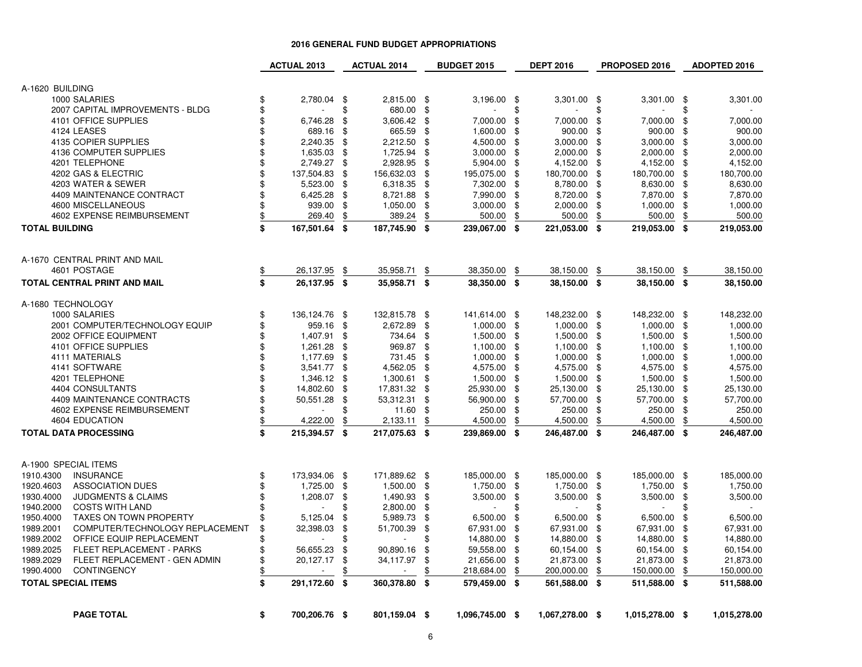|                                              | <b>ACTUAL 2013</b>   | <b>ACTUAL 2014</b> |               | <b>BUDGET 2015</b> | <b>DEPT 2016</b> |     | PROPOSED 2016   |      | ADOPTED 2016 |
|----------------------------------------------|----------------------|--------------------|---------------|--------------------|------------------|-----|-----------------|------|--------------|
|                                              |                      |                    |               |                    |                  |     |                 |      |              |
| A-1620 BUILDING<br>1000 SALARIES             | \$<br>2,780.04 \$    | 2,815.00 \$        |               | 3,196.00 \$        | 3,301.00         | -\$ | $3,301.00$ \$   |      | 3,301.00     |
| 2007 CAPITAL IMPROVEMENTS - BLDG             | \$                   | \$<br>680.00       | \$            |                    | \$               | \$  |                 | \$   |              |
| 4101 OFFICE SUPPLIES                         | \$<br>6,746.28       | \$<br>3,606.42     | \$            | 7,000.00           | \$<br>7,000.00   | \$  | 7,000.00        | \$   | 7,000.00     |
| 4124 LEASES                                  | \$<br>689.16         | \$<br>665.59       | \$            | 1,600.00           | \$<br>900.00     | \$  | 900.00          | \$   | 900.00       |
| 4135 COPIER SUPPLIES                         | \$<br>2,240.35       | \$<br>2,212.50     | \$            | 4,500.00           | \$<br>3,000.00   | -\$ | 3,000.00        | \$   | 3,000.00     |
| 4136 COMPUTER SUPPLIES                       | \$<br>1,635.03       | \$<br>1,725.94     | \$            | 3,000.00           | \$<br>2,000.00   | \$  | 2,000.00        | \$   | 2,000.00     |
| 4201 TELEPHONE                               | \$<br>2,749.27       | \$<br>2,928.95     | \$            | 5,904.00           | \$<br>4,152.00   | \$  | 4,152.00        | \$   | 4,152.00     |
| 4202 GAS & ELECTRIC                          | \$<br>137,504.83     | \$<br>156,632.03   | \$            | 195,075.00         | \$<br>180,700.00 | \$  | 180,700.00      | -\$  | 180,700.00   |
| 4203 WATER & SEWER                           | \$<br>5,523.00       | \$<br>6,318.35     | \$            | 7,302.00           | \$<br>8,780.00   | \$  | 8,630.00        | \$   | 8,630.00     |
| 4409 MAINTENANCE CONTRACT                    | \$<br>6,425.28       | \$<br>8,721.88     | \$            | 7,990.00           | \$<br>8,720.00   | \$  | 7,870.00        | \$   | 7,870.00     |
| 4600 MISCELLANEOUS                           | \$<br>939.00         | \$<br>1,050.00     | \$            | 3,000.00           | \$<br>2,000.00   | \$  | $1,000.00$ \$   |      | 1,000.00     |
| 4602 EXPENSE REIMBURSEMENT                   | \$<br>269.40         | \$<br>389.24       | \$            | 500.00             | \$<br>500.00     | \$  | 500.00          | \$   | 500.00       |
| <b>TOTAL BUILDING</b>                        | \$<br>167,501.64 \$  | 187,745.90 \$      |               | 239,067.00 \$      | 221,053.00 \$    |     | 219,053.00      | - \$ | 219,053.00   |
| A-1670 CENTRAL PRINT AND MAIL                |                      |                    |               |                    |                  |     |                 |      |              |
| 4601 POSTAGE                                 | \$<br>26,137.95      | \$<br>35,958.71    | \$            | 38,350.00          | \$<br>38,150.00  | \$  | 38,150.00       | \$   | 38,150.00    |
| TOTAL CENTRAL PRINT AND MAIL                 | \$<br>26,137.95 \$   | 35,958.71          | \$            | 38,350.00 \$       | 38,150.00 \$     |     | 38,150.00 \$    |      | 38,150.00    |
|                                              |                      |                    |               |                    |                  |     |                 |      |              |
| A-1680 TECHNOLOGY                            |                      |                    |               |                    |                  |     |                 |      |              |
| 1000 SALARIES                                | \$<br>136,124.76 \$  | 132,815.78 \$      |               | 141,614.00 \$      | 148,232.00 \$    |     | 148,232.00 \$   |      | 148,232.00   |
| 2001 COMPUTER/TECHNOLOGY EQUIP               | \$<br>959.16         | \$<br>2.672.89     | \$            | 1,000.00           | \$<br>1,000.00   | \$  | $1,000.00$ \$   |      | 1,000.00     |
| 2002 OFFICE EQUIPMENT                        | \$<br>1,407.91       | \$<br>734.64       | \$            | 1,500.00           | \$<br>1,500.00   | \$  | 1,500.00        | \$   | 1,500.00     |
| 4101 OFFICE SUPPLIES                         | \$<br>1,261.28       | \$<br>969.87       | \$            | 1,100.00           | \$<br>1,100.00   | \$  | $1,100.00$ \$   |      | 1,100.00     |
| <b>4111 MATERIALS</b>                        | \$<br>1,177.69       | \$<br>731.45       | \$            | 1,000.00           | \$<br>1,000.00   | \$  | 1,000.00        | \$   | 1,000.00     |
| 4141 SOFTWARE                                | \$<br>3,541.77 \$    | 4,562.05           | \$            | 4,575.00           | \$<br>4,575.00   | \$  | 4,575.00        | \$   | 4,575.00     |
| 4201 TELEPHONE                               | \$<br>1,346.12       | \$<br>1,300.61     | \$            | 1,500.00           | \$<br>1,500.00   | \$  | 1,500.00        | \$   | 1,500.00     |
| 4404 CONSULTANTS                             | \$<br>14,802.60      | \$<br>17,831.32    | \$            | 25,930.00          | \$<br>25,130.00  | \$  | 25,130.00       | \$   | 25,130.00    |
| 4409 MAINTENANCE CONTRACTS                   | \$<br>50,551.28      | \$<br>53,312.31    | \$            | 56,900.00          | \$<br>57,700.00  | \$  | 57,700.00 \$    |      | 57,700.00    |
| <b>4602 EXPENSE REIMBURSEMENT</b>            | \$                   | \$<br>11.60        | \$            | 250.00             | \$<br>250.00     | \$  | 250.00          | \$   | 250.00       |
| 4604 EDUCATION                               | \$<br>4,222.00       | \$<br>2,133.11     | \$            | 4,500.00           | \$<br>4,500.00   | \$  | 4,500.00        | \$   | 4,500.00     |
| <b>TOTAL DATA PROCESSING</b>                 | \$<br>215,394.57     | \$<br>217,075.63   | \$            | 239,869.00 \$      | 246,487.00       | \$  | 246,487.00      | \$   | 246,487.00   |
| A-1900 SPECIAL ITEMS                         |                      |                    |               |                    |                  |     |                 |      |              |
| 1910.4300<br><b>INSURANCE</b>                | \$<br>173,934.06 \$  | 171,889.62 \$      |               | 185,000.00 \$      | 185,000.00 \$    |     | 185,000.00 \$   |      | 185,000.00   |
| 1920.4603<br><b>ASSOCIATION DUES</b>         | \$<br>1,725.00       | \$<br>1,500.00     | $\frac{1}{2}$ | 1,750.00           | \$<br>1,750.00   | \$  | 1,750.00        | \$   | 1,750.00     |
| 1930.4000<br><b>JUDGMENTS &amp; CLAIMS</b>   | \$<br>1,208.07 \$    | 1,490.93           | \$            | 3,500.00           | \$<br>3,500.00   | \$  | 3,500.00        | -\$  | 3,500.00     |
| 1940.2000<br><b>COSTS WITH LAND</b>          | \$                   | \$<br>2,800.00     | \$            |                    | \$               | \$  |                 | \$   |              |
| 1950.4000<br><b>TAXES ON TOWN PROPERTY</b>   | \$<br>5,125.04       | \$<br>5,989.73     | \$            | 6,500.00           | \$<br>6,500.00   | \$  | 6,500.00        | \$   | 6,500.00     |
| 1989.2001<br>COMPUTER/TECHNOLOGY REPLACEMENT | \$<br>32,398.03      | \$<br>51,700.39    | $\frac{1}{2}$ | 67,931.00          | \$<br>67,931.00  | \$  | 67,931.00       | \$   | 67,931.00    |
| 1989.2002<br>OFFICE EQUIP REPLACEMENT        | \$<br>$\blacksquare$ | \$                 | \$            | 14,880.00          | \$<br>14,880.00  | \$  | 14,880.00       | \$   | 14,880.00    |
| 1989.2025<br>FLEET REPLACEMENT - PARKS       | \$<br>56,655.23      | \$<br>90,890.16    | \$            | 59,558.00          | \$<br>60,154.00  | \$  | 60,154.00       | \$   | 60,154.00    |
| 1989.2029<br>FLEET REPLACEMENT - GEN ADMIN   | \$<br>20,127.17      | \$<br>34,117.97    | \$            | 21,656.00          | \$<br>21,873.00  | \$  | 21,873.00       | \$   | 21,873.00    |
| 1990.4000<br>CONTINGENCY                     | \$                   | \$                 | \$            | 218,684.00         | \$<br>200,000.00 | \$  | 150,000.00      | \$   | 150,000.00   |
| <b>TOTAL SPECIAL ITEMS</b>                   | \$<br>291,172.60     | \$<br>360,378.80   | \$            | 579,459.00 \$      | 561,588.00 \$    |     | 511,588.00 \$   |      | 511,588.00   |
| <b>PAGE TOTAL</b>                            | \$<br>700,206.76 \$  | 801,159.04 \$      |               | 1,096,745.00 \$    | 1,067,278.00 \$  |     | 1,015,278.00 \$ |      | 1,015,278.00 |
|                                              |                      |                    |               |                    |                  |     |                 |      |              |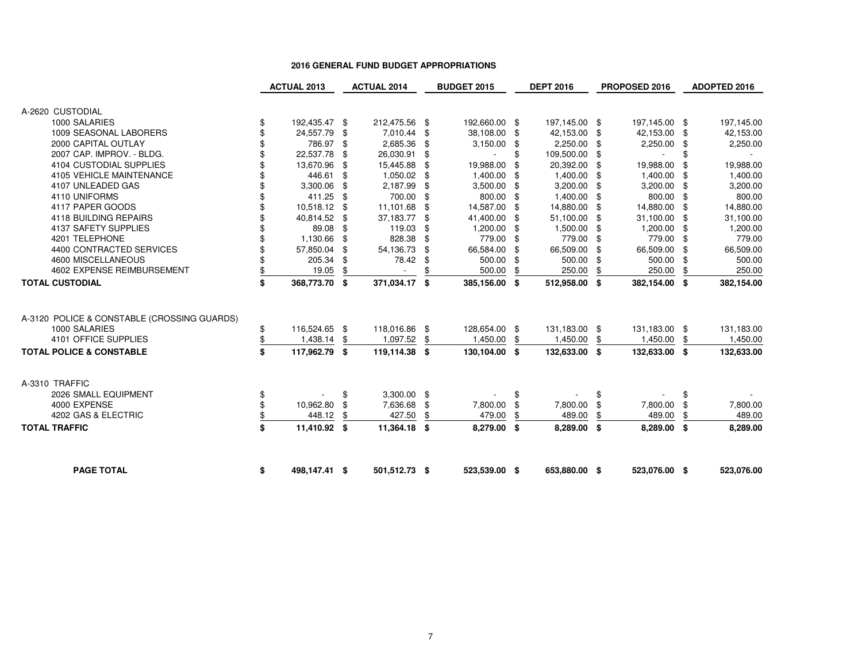|                                             |               | <b>ACTUAL 2013</b> |           | <b>ACTUAL 2014</b> |          | <b>BUDGET 2015</b> |     | <b>DEPT 2016</b> |            | PROPOSED 2016 | <b>ADOPTED 2016</b>      |
|---------------------------------------------|---------------|--------------------|-----------|--------------------|----------|--------------------|-----|------------------|------------|---------------|--------------------------|
|                                             |               |                    |           |                    |          |                    |     |                  |            |               |                          |
| A-2620 CUSTODIAL                            |               |                    |           |                    |          |                    |     |                  |            |               |                          |
| 1000 SALARIES                               | \$            | 192,435.47 \$      |           | 212,475.56 \$      |          | 192,660.00 \$      |     | 197,145.00 \$    |            | 197,145.00 \$ | 197,145.00               |
| 1009 SEASONAL LABORERS                      | \$            | 24,557.79 \$       |           | 7,010.44           | \$       | 38,108.00          | \$  | 42,153.00        | - \$       | 42,153.00 \$  | 42,153.00                |
| 2000 CAPITAL OUTLAY                         |               | 786.97 \$          |           | 2,685.36           | \$       | 3,150.00           | -\$ | 2,250.00         | - \$       | 2,250.00 \$   | 2,250.00                 |
| 2007 CAP. IMPROV. - BLDG.                   |               | 22,537.78 \$       |           | 26,030.91          | \$       |                    | \$  | 109,500.00       | - \$       |               | \$                       |
| <b>4104 CUSTODIAL SUPPLIES</b>              |               | 13,670.96 \$       |           | 15,445.88          | \$       | 19,988.00          | \$  | 20,392.00        | - \$       | 19,988.00     | \$<br>19,988.00          |
| 4105 VEHICLE MAINTENANCE                    |               | 446.61 \$          |           | 1,050.02           | \$       | 1,400.00           | \$  | 1,400.00         | -\$        | 1,400.00 \$   | 1,400.00                 |
| 4107 UNLEADED GAS                           |               | 3,300.06 \$        |           | 2,187.99           | \$       | 3,500.00           | \$  | 3,200.00         | - \$       | 3,200.00 \$   | 3,200.00                 |
| 4110 UNIFORMS                               |               | 411.25 \$          |           | 700.00             | \$       | 800.00             | \$  | 1,400.00         | \$         | 800.00 \$     | 800.00                   |
| 4117 PAPER GOODS                            |               | 10,518.12 \$       |           | 11,101.68          | \$       | 14,587.00          | \$  | 14,880.00        | S          | 14,880.00 \$  | 14,880.00                |
| 4118 BUILDING REPAIRS                       |               | 40,814.52 \$       |           | 37,183.77          | \$       | 41,400.00          | \$  | 51,100.00        | \$         | 31,100.00 \$  | 31,100.00                |
| 4137 SAFETY SUPPLIES                        |               | 89.08 \$           |           | 119.03             | \$       | 1,200.00           | \$  | 1,500.00         | -\$        | 1,200.00 \$   | 1,200.00                 |
| 4201 TELEPHONE                              |               | 1,130.66 \$        |           | 828.38             | \$       | 779.00             | \$  | 779.00           | \$         | 779.00 \$     | 779.00                   |
| 4400 CONTRACTED SERVICES                    |               | 57,850.04 \$       |           | 54,136.73          | \$       | 66,584.00          | \$  | 66,509.00        | \$         | 66,509.00 \$  | 66,509.00                |
| 4600 MISCELLANEOUS                          |               | 205.34 \$          |           | 78.42              | \$       | 500.00             | \$  | 500.00           | \$         | 500.00 \$     | 500.00                   |
| 4602 EXPENSE REIMBURSEMENT                  | \$            | 19.05              | \$        | $\sim$             | \$       | 500.00             | \$  | 250.00           | \$         | 250.00        | \$<br>250.00             |
| <b>TOTAL CUSTODIAL</b>                      | \$            | 368,773.70 \$      |           | 371,034.17         | Ŝ.       | 385,156.00 \$      |     | 512,958.00 \$    |            | 382,154.00 \$ | 382,154.00               |
|                                             |               |                    |           |                    |          |                    |     |                  |            |               |                          |
|                                             |               |                    |           |                    |          |                    |     |                  |            |               |                          |
| A-3120 POLICE & CONSTABLE (CROSSING GUARDS) |               |                    |           |                    |          |                    |     |                  |            |               |                          |
| 1000 SALARIES                               | \$            | 116,524.65 \$      |           | 118,016.86 \$      |          | 128,654.00 \$      |     | 131,183.00 \$    |            | 131,183.00 \$ | 131,183.00               |
| 4101 OFFICE SUPPLIES                        | $\frac{1}{2}$ | 1,438.14           | \$        | 1,097.52           | \$       | 1,450.00           | \$  | 1,450.00         | \$         | 1,450.00      | \$<br>1,450.00           |
| <b>TOTAL POLICE &amp; CONSTABLE</b>         | \$            | 117,962.79 \$      |           | 119,114.38 \$      |          | 130,104.00 \$      |     | 132,633.00 \$    |            | 132,633.00 \$ | 132,633.00               |
| A-3310 TRAFFIC                              |               |                    |           |                    |          |                    |     |                  |            |               |                          |
| 2026 SMALL EQUIPMENT                        |               |                    |           | 3,300.00 \$        |          |                    |     |                  |            |               | \$                       |
| 4000 EXPENSE                                | \$<br>\$      |                    | \$        |                    |          |                    | \$  |                  | \$         | 7,800.00      |                          |
| 4202 GAS & ELECTRIC                         | \$            | 10,962.80          | \$<br>\$. | 7,636.68           | \$<br>\$ | 7,800.00           | \$  | 7,800.00         | -\$<br>\$. |               | \$<br>7,800.00<br>489.00 |
|                                             |               | 448.12             |           | 427.50             |          | 479.00             |     | 489.00           |            | 489.00        |                          |
| <b>TOTAL TRAFFIC</b>                        | \$            | 11,410.92 \$       |           | 11,364.18 \$       |          | 8,279.00 \$        |     | 8,289.00         | S.         | 8,289.00 \$   | 8,289.00                 |
| <b>PAGE TOTAL</b>                           | \$            | 498,147.41 \$      |           | 501,512.73 \$      |          | 523,539.00 \$      |     | 653,880.00 \$    |            | 523,076.00 \$ | 523,076.00               |
|                                             |               |                    |           |                    |          |                    |     |                  |            |               |                          |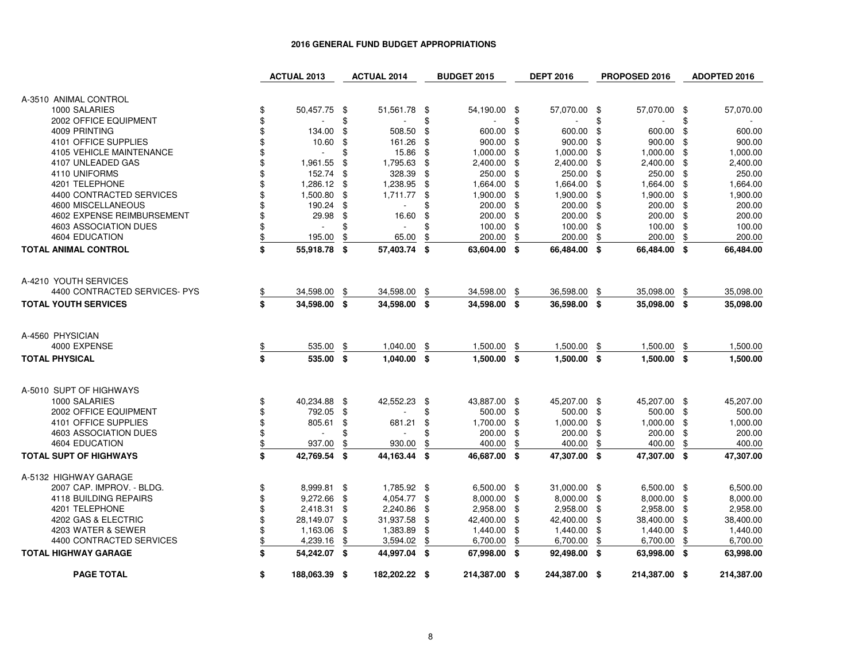|                                        | <b>ACTUAL 2013</b>   | <b>ACTUAL 2014</b>   |            | <b>BUDGET 2015</b> |      | <b>DEPT 2016</b> |      | PROPOSED 2016 | ADOPTED 2016    |
|----------------------------------------|----------------------|----------------------|------------|--------------------|------|------------------|------|---------------|-----------------|
|                                        |                      |                      |            |                    |      |                  |      |               |                 |
| A-3510 ANIMAL CONTROL<br>1000 SALARIES | \$<br>50,457.75 \$   | 51,561.78            |            | 54,190.00          | - \$ | 57,070.00        | \$   | 57,070.00 \$  | 57,070.00       |
| 2002 OFFICE EQUIPMENT                  | \$                   | \$                   | - \$<br>\$ |                    | \$   |                  | \$   |               | \$              |
| 4009 PRINTING                          | \$<br>134.00         | \$<br>508.50         | \$         | 600.00             | \$   | 600.00           | \$   | 600.00        | \$<br>600.00    |
| 4101 OFFICE SUPPLIES                   | \$<br>10.60          | \$<br>161.26         | \$         | 900.00             | \$   | 900.00           | \$   | 900.00        | \$<br>900.00    |
| 4105 VEHICLE MAINTENANCE               | \$                   | \$<br>15.86          | -\$        | 1,000.00           | \$   | 1,000.00         | \$   | 1,000.00      | \$<br>1.000.00  |
| 4107 UNLEADED GAS                      | \$<br>1,961.55       | \$<br>1,795.63       | \$         | 2,400.00           | \$   | 2,400.00         | \$   | 2,400.00      | \$<br>2,400.00  |
| 4110 UNIFORMS                          | \$<br>152.74         | \$<br>328.39         | \$         | 250.00             | \$   | 250.00           | \$   | 250.00        | \$<br>250.00    |
| 4201 TELEPHONE                         | \$<br>1,286.12       | \$<br>1,238.95       | \$         | 1,664.00           | \$   | 1,664.00         | \$   | 1,664.00      | \$<br>1,664.00  |
| 4400 CONTRACTED SERVICES               | \$<br>1,500.80       | \$<br>1,711.77       | \$         | 1,900.00           | \$   | 1,900.00         | \$   | 1,900.00      | \$<br>1,900.00  |
| 4600 MISCELLANEOUS                     | \$<br>190.24         | \$                   | \$         | 200.00             | \$   | 200.00           | -\$  | 200.00        | \$<br>200.00    |
| 4602 EXPENSE REIMBURSEMENT             | \$<br>29.98          | \$<br>16.60          | \$         | 200.00             | \$   | 200.00           | \$   | 200.00 \$     | 200.00          |
| 4603 ASSOCIATION DUES                  | \$<br>$\blacksquare$ | \$<br>$\overline{a}$ | \$         | 100.00             | \$   | 100.00           | \$   | 100.00 \$     | 100.00          |
| 4604 EDUCATION                         | \$<br>195.00         | \$<br>65.00          | \$         | 200.00             | \$   | 200.00           | \$   | 200.00        | \$<br>200.00    |
| <b>TOTAL ANIMAL CONTROL</b>            | \$<br>55,918.78 \$   | 57,403.74 \$         |            | 63,604.00 \$       |      | 66,484.00 \$     |      | 66,484.00 \$  | 66,484.00       |
| A-4210 YOUTH SERVICES                  |                      |                      |            |                    |      |                  |      |               |                 |
| 4400 CONTRACTED SERVICES- PYS          | \$<br>34,598.00      | \$<br>34,598.00      | \$         | 34,598.00          | \$   | 36,598.00        | \$   | 35,098.00     | \$<br>35,098.00 |
|                                        |                      |                      |            |                    |      |                  |      |               |                 |
| <b>TOTAL YOUTH SERVICES</b>            | \$<br>34,598.00 \$   | 34.598.00 \$         |            | 34,598.00 \$       |      | 36,598.00 \$     |      | 35,098.00 \$  | 35,098.00       |
| A-4560 PHYSICIAN                       |                      |                      |            |                    |      |                  |      |               |                 |
| 4000 EXPENSE                           | 535.00               | \$<br>1,040.00       | \$         | 1,500.00           | \$   | 1,500.00         | \$   | 1,500.00      | \$<br>1,500.00  |
| <b>TOTAL PHYSICAL</b>                  | \$<br>535.00 \$      | 1,040.00 \$          |            | $1,500.00$ \$      |      | $1,500.00$ \$    |      | $1,500.00$ \$ | 1,500.00        |
|                                        |                      |                      |            |                    |      |                  |      |               |                 |
| A-5010 SUPT OF HIGHWAYS                |                      |                      |            |                    |      |                  |      |               |                 |
| 1000 SALARIES                          | \$<br>40,234.88 \$   | 42,552.23            | -\$        | 43,887.00 \$       |      | 45,207.00 \$     |      | 45,207.00 \$  | 45,207.00       |
| 2002 OFFICE EQUIPMENT                  | \$<br>792.05         | \$                   | \$         | 500.00 \$          |      | 500.00 \$        |      | 500.00 \$     | 500.00          |
| 4101 OFFICE SUPPLIES                   | \$<br>805.61         | \$<br>681.21         | \$         | 1,700.00           | \$   | 1,000.00         | -\$  | 1,000.00      | \$<br>1,000.00  |
| 4603 ASSOCIATION DUES                  | \$                   | \$                   | \$         | 200.00             | \$   | 200.00           | \$   | 200.00 \$     | 200.00          |
| 4604 EDUCATION                         | \$<br>937.00         | \$<br>930.00         | \$         | 400.00             | \$   | 400.00           | \$   | 400.00        | \$<br>400.00    |
| <b>TOTAL SUPT OF HIGHWAYS</b>          | \$<br>42,769.54 \$   | 44,163.44 \$         |            | 46,687.00 \$       |      | 47,307.00 \$     |      | 47,307.00 \$  | 47,307.00       |
| A-5132 HIGHWAY GARAGE                  |                      |                      |            |                    |      |                  |      |               |                 |
| 2007 CAP. IMPROV. - BLDG.              | \$<br>8,999.81 \$    | 1,785.92 \$          |            | 6,500.00 \$        |      | 31,000.00 \$     |      | 6,500.00 \$   | 6,500.00        |
| 4118 BUILDING REPAIRS                  | \$<br>9,272.66       | \$<br>4,054.77       | -\$        | 8,000.00           | -\$  | 8,000.00         | -\$  | 8,000.00 \$   | 8,000.00        |
| 4201 TELEPHONE                         | \$<br>2,418.31       | \$<br>2,240.86       | -\$        | 2,958.00           | \$   | 2,958.00         | - \$ | 2,958.00 \$   | 2,958.00        |
| 4202 GAS & ELECTRIC                    | \$<br>28,149.07      | \$<br>31,937.58      | \$         | 42,400.00          | \$   | 42,400.00        | \$   | 38,400.00     | \$<br>38,400.00 |
| 4203 WATER & SEWER                     | \$<br>1,163.06       | \$<br>1,383.89       | -\$        | 1,440.00           | \$   | 1,440.00         | \$   | 1,440.00 \$   | 1,440.00        |
| 4400 CONTRACTED SERVICES               | \$<br>4,239.16       | \$<br>3,594.02       | \$         | 6,700.00           | \$   | 6,700.00         | \$   | 6,700.00      | \$<br>6,700.00  |
| <b>TOTAL HIGHWAY GARAGE</b>            | \$<br>54,242.07 \$   | 44,997.04 \$         |            | 67,998.00 \$       |      | 92,498.00 \$     |      | 63,998.00 \$  | 63,998.00       |
| <b>PAGE TOTAL</b>                      | \$<br>188,063.39 \$  | 182,202.22 \$        |            | 214,387.00 \$      |      | 244,387.00 \$    |      | 214,387.00 \$ | 214,387.00      |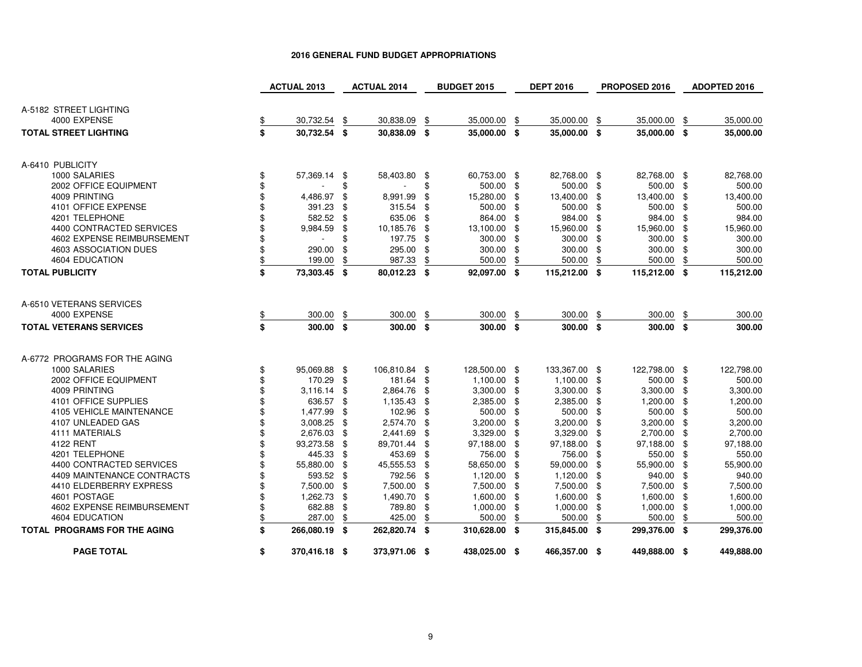|                                     |               | <b>ACTUAL 2013</b> | <b>ACTUAL 2014</b> |     | <b>BUDGET 2015</b> |    | <b>DEPT 2016</b> |     | PROPOSED 2016 |     | <b>ADOPTED 2016</b> |
|-------------------------------------|---------------|--------------------|--------------------|-----|--------------------|----|------------------|-----|---------------|-----|---------------------|
|                                     |               |                    |                    |     |                    |    |                  |     |               |     |                     |
| A-5182 STREET LIGHTING              |               |                    |                    |     |                    |    |                  |     |               |     |                     |
| 4000 EXPENSE                        | \$            | 30,732.54          | \$<br>30,838.09    | \$  | 35,000.00          | \$ | 35,000.00        | \$  | 35,000.00     | \$  | 35,000.00           |
| <b>TOTAL STREET LIGHTING</b>        | \$            | 30,732.54 \$       | 30,838.09 \$       |     | 35,000.00 \$       |    | 35,000.00 \$     |     | 35,000.00 \$  |     | 35,000.00           |
| A-6410 PUBLICITY                    |               |                    |                    |     |                    |    |                  |     |               |     |                     |
| 1000 SALARIES                       | \$            | 57,369.14 \$       | 58,403.80 \$       |     | 60,753.00 \$       |    | 82,768.00 \$     |     | 82,768.00 \$  |     | 82,768.00           |
| 2002 OFFICE EQUIPMENT               | \$            |                    | \$                 | \$  | 500.00 \$          |    | 500.00           | -\$ | 500.00 \$     |     | 500.00              |
| 4009 PRINTING                       | \$            | 4,486.97           | \$<br>8,991.99     | \$  | 15,280.00          | \$ | 13,400.00        | \$  | 13,400.00     | \$  | 13,400.00           |
| 4101 OFFICE EXPENSE                 | \$            | 391.23             | \$<br>315.54       | \$  | 500.00             | \$ | 500.00           | \$  | 500.00        | \$  | 500.00              |
| 4201 TELEPHONE                      | \$            | 582.52 \$          | 635.06             | \$  | 864.00             | \$ | 984.00           | -\$ | 984.00        | -\$ | 984.00              |
| 4400 CONTRACTED SERVICES            | \$            | 9,984.59           | \$<br>10,185.76    | \$  | 13,100.00          | \$ | 15,960.00        | \$  | 15,960.00 \$  |     | 15,960.00           |
| 4602 EXPENSE REIMBURSEMENT          | \$            |                    | \$<br>197.75       | \$  | 300.00             | \$ | 300.00           | \$  | 300.00        | -\$ | 300.00              |
| 4603 ASSOCIATION DUES               | \$            | 290.00             | \$<br>295.00       | \$  | 300.00             | \$ | 300.00           | \$  | 300.00        | \$  | 300.00              |
| 4604 EDUCATION                      | $\frac{1}{2}$ | 199.00             | \$<br>987.33       | \$  | 500.00             | \$ | 500.00           | \$  | 500.00        | \$  | 500.00              |
| <b>TOTAL PUBLICITY</b>              | \$            | 73,303.45 \$       | 80,012.23 \$       |     | 92,097.00 \$       |    | 115,212.00 \$    |     | 115,212.00 \$ |     | 115,212.00          |
|                                     |               |                    |                    |     |                    |    |                  |     |               |     |                     |
| A-6510 VETERANS SERVICES            |               |                    |                    |     |                    |    |                  |     |               |     |                     |
| 4000 EXPENSE                        | $\frac{1}{2}$ | 300.00             | \$<br>300.00       | \$  | 300.00             | \$ | 300.00           | \$  | 300.00        | \$  | 300.00              |
| <b>TOTAL VETERANS SERVICES</b>      | \$            | 300.00 S           | 300.00 \$          |     | 300.00 \$          |    | $300.00$ \$      |     | $300.00$ \$   |     | 300.00              |
|                                     |               |                    |                    |     |                    |    |                  |     |               |     |                     |
| A-6772 PROGRAMS FOR THE AGING       |               |                    |                    |     |                    |    |                  |     |               |     |                     |
| 1000 SALARIES                       | \$            | 95,069.88 \$       | 106,810.84 \$      |     | 128,500.00 \$      |    | 133,367.00 \$    |     | 122,798.00 \$ |     | 122,798.00          |
| 2002 OFFICE EQUIPMENT               | \$            | 170.29 \$          | 181.64 \$          |     | 1,100.00           | \$ | 1,100.00         | \$  | 500.00 \$     |     | 500.00              |
| 4009 PRINTING                       | \$            | $3,116.14$ \$      | 2,864.76           | \$  | 3,300.00           | \$ | 3,300.00         | \$  | 3,300.00      | \$  | 3,300.00            |
| 4101 OFFICE SUPPLIES                | \$            | 636.57 \$          | 1,135.43           | \$  | 2,385.00           | \$ | 2,385.00         | -\$ | 1,200.00      | \$  | 1,200.00            |
| 4105 VEHICLE MAINTENANCE            | \$            | 1,477.99           | \$<br>102.96       | \$  | 500.00             | \$ | 500.00           | \$  | 500.00        | -\$ | 500.00              |
| 4107 UNLEADED GAS                   | \$            | 3,008.25 \$        | 2,574.70           | -\$ | 3,200.00           | \$ | 3,200.00         | \$  | 3,200.00      | \$. | 3,200.00            |
| 4111 MATERIALS                      | \$            | 2,676.03 \$        | 2,441.69           | \$  | 3,329.00           | \$ | 3,329.00         | \$  | 2,700.00      | \$  | 2,700.00            |
| 4122 RENT                           | \$            | 93,273.58 \$       | 89,701.44          | \$  | 97,188.00          | \$ | 97,188.00        | \$  | 97,188.00     | \$  | 97,188.00           |
| 4201 TELEPHONE                      | \$            | 445.33 \$          | 453.69             | \$  | 756.00             | £. | 756.00           | \$  | 550.00        | \$  | 550.00              |
| 4400 CONTRACTED SERVICES            | \$            | 55,880.00          | \$<br>45,555.53    | \$  | 58,650.00          | \$ | 59,000.00        | \$  | 55,900.00     | \$  | 55,900.00           |
| 4409 MAINTENANCE CONTRACTS          | \$            | 593.52 \$          | 792.56             | \$  | 1,120.00           | \$ | 1,120.00         | \$  | 940.00        | -\$ | 940.00              |
| 4410 ELDERBERRY EXPRESS             | \$            | 7,500.00 \$        | 7,500.00           | \$  | 7,500.00           | \$ | 7,500.00         | \$  | 7,500.00      | \$  | 7,500.00            |
| 4601 POSTAGE                        | \$            | 1,262.73 \$        | 1,490.70           | \$  | 1,600.00           | \$ | 1,600.00         | \$  | 1,600.00      | -\$ | 1,600.00            |
| 4602 EXPENSE REIMBURSEMENT          | \$            | 682.88             | \$<br>789.80       | \$  | 1,000.00           | \$ | 1,000.00         | \$  | 1,000.00      | \$  | 1,000.00            |
| <b>4604 EDUCATION</b>               | $\frac{1}{2}$ | 287.00             | \$<br>425.00       | \$  | 500.00             | \$ | 500.00           | \$  | 500.00        | \$  | 500.00              |
| <b>TOTAL PROGRAMS FOR THE AGING</b> | \$            | 266,080.19 \$      | 262,820.74 \$      |     | 310,628.00 \$      |    | 315,845.00 \$    |     | 299,376.00 \$ |     | 299,376.00          |
| <b>PAGE TOTAL</b>                   | \$            | 370,416.18 \$      | 373,971.06 \$      |     | 438,025.00 \$      |    | 466,357.00 \$    |     | 449,888.00 \$ |     | 449,888.00          |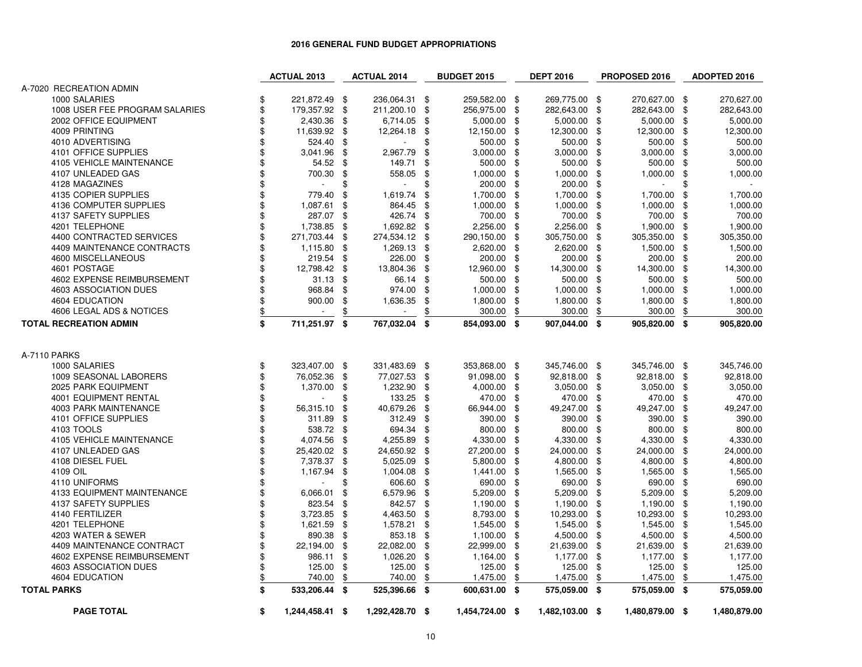|                                | <b>ACTUAL 2013</b>             | <b>ACTUAL 2014</b> |     | <b>BUDGET 2015</b> |      | <b>DEPT 2016</b> | PROPOSED 2016       |     | ADOPTED 2016 |
|--------------------------------|--------------------------------|--------------------|-----|--------------------|------|------------------|---------------------|-----|--------------|
| A-7020 RECREATION ADMIN        |                                |                    |     |                    |      |                  |                     |     |              |
| 1000 SALARIES                  | \$<br>221,872.49 \$            | 236,064.31 \$      |     | 259,582.00 \$      |      | 269,775.00       | \$<br>270,627.00 \$ |     | 270,627.00   |
| 1008 USER FEE PROGRAM SALARIES | \$<br>179,357.92 \$            | 211,200.10 \$      |     | 256,975.00 \$      |      | 282,643.00       | \$<br>282,643.00    | -\$ | 282,643.00   |
| 2002 OFFICE EQUIPMENT          | \$<br>2,430.36                 | \$<br>6,714.05     | \$  | 5,000.00           | \$   | 5,000.00         | \$<br>5,000.00      | \$  | 5,000.00     |
| 4009 PRINTING                  | \$<br>11,639.92                | \$<br>12,264.18    | \$  | 12,150.00          | -\$  | 12,300.00        | \$<br>12,300.00     | \$  | 12,300.00    |
| 4010 ADVERTISING               | \$<br>524.40                   | \$                 | \$  | 500.00             | \$   | 500.00           | \$<br>500.00        | \$  | 500.00       |
| 4101 OFFICE SUPPLIES           | \$<br>3,041.96                 | \$<br>2,967.79     | \$  | 3,000.00           | - \$ | 3,000.00         | \$<br>3,000.00      | \$  | 3,000.00     |
| 4105 VEHICLE MAINTENANCE       | \$<br>54.52                    | \$<br>149.71       | \$  | 500.00             | \$   | 500.00           | \$<br>500.00        | \$  | 500.00       |
| 4107 UNLEADED GAS              | \$<br>700.30                   | \$<br>558.05       | \$  | 1,000.00           | \$   | 1,000.00         | \$<br>1,000.00      | \$  | 1,000.00     |
| 4128 MAGAZINES                 | \$<br>$\blacksquare$           | \$                 | \$  | 200.00             | \$   | 200.00           | \$                  | \$  |              |
| 4135 COPIER SUPPLIES           | \$<br>779.40                   | \$<br>1,619.74     | \$  | 1,700.00           | \$   | 1,700.00         | \$<br>1,700.00      | \$  | 1,700.00     |
| 4136 COMPUTER SUPPLIES         | \$<br>1,087.61                 | \$<br>864.45       | \$  | 1,000.00           | - \$ | 1,000.00         | \$<br>1,000.00      | \$. | 1,000.00     |
| 4137 SAFETY SUPPLIES           | \$<br>287.07                   | \$<br>426.74       | \$  | 700.00             | \$   | 700.00           | \$<br>700.00        | \$  | 700.00       |
| 4201 TELEPHONE                 | \$<br>1,738.85                 | \$<br>1,692.82     | -\$ | 2,256.00           | -\$  | 2,256.00         | \$<br>1,900.00      | \$  | 1,900.00     |
| 4400 CONTRACTED SERVICES       | \$<br>271,703.44               | \$<br>274,534.12   | \$  | 290,150.00         | \$   | 305,750.00       | \$<br>305,350.00    | \$  | 305,350.00   |
| 4409 MAINTENANCE CONTRACTS     | \$<br>1,115.80                 | \$<br>1,269.13     | \$  | 2,620.00           | -\$  | 2,620.00         | \$<br>1,500.00      | \$  | 1,500.00     |
| 4600 MISCELLANEOUS             | \$<br>219.54                   | \$<br>226.00       | \$  | 200.00             | \$   | 200.00           | \$<br>200.00        | \$  | 200.00       |
| 4601 POSTAGE                   | \$<br>12,798.42                | \$<br>13,804.36    | \$  | 12,960.00          | \$   | 14,300.00        | \$<br>14,300.00     | \$  | 14,300.00    |
| 4602 EXPENSE REIMBURSEMENT     | \$<br>31.13                    | \$<br>66.14        | \$  | 500.00             | \$   | 500.00           | \$<br>500.00        | \$  | 500.00       |
| 4603 ASSOCIATION DUES          | \$<br>968.84                   | \$<br>974.00       | \$  | 1,000.00           | \$   | 1,000.00         | \$<br>1,000.00      | \$  | 1,000.00     |
| 4604 EDUCATION                 | \$<br>900.00                   | \$                 | \$  |                    | \$   | 1,800.00         | \$<br>1,800.00      | \$  | 1,800.00     |
| 4606 LEGAL ADS & NOTICES       | \$<br>$\blacksquare$           | \$<br>1,636.35     |     | 1,800.00           |      | 300.00           |                     |     | 300.00       |
|                                |                                |                    | \$  | 300.00             | \$   |                  | \$<br>300.00        | \$  |              |
| <b>TOTAL RECREATION ADMIN</b>  | \$<br>711,251.97               | \$<br>767,032.04   | \$  | 854,093.00 \$      |      | 907,044.00       | \$<br>905,820.00    | \$  | 905,820.00   |
|                                |                                |                    |     |                    |      |                  |                     |     |              |
|                                |                                |                    |     |                    |      |                  |                     |     |              |
| A-7110 PARKS                   |                                |                    |     |                    |      |                  |                     |     |              |
| 1000 SALARIES                  | \$<br>323,407.00 \$            | 331,483.69 \$      |     | 353,868.00 \$      |      | 345,746.00 \$    | 345,746.00 \$       |     | 345,746.00   |
| 1009 SEASONAL LABORERS         | \$<br>76,052.36                | \$<br>77,027.53    | \$  | 91,098.00          | - \$ | 92,818.00        | \$<br>92,818.00     | \$  | 92,818.00    |
| 2025 PARK EQUIPMENT            | \$<br>1,370.00                 | \$<br>1,232.90     | \$  | 4,000.00           | \$   | 3,050.00         | \$<br>3,050.00      | \$  | 3,050.00     |
| <b>4001 EQUIPMENT RENTAL</b>   | \$<br>$\overline{\phantom{a}}$ | \$<br>133.25       | \$  | 470.00             | \$   | 470.00           | \$<br>470.00        | \$  | 470.00       |
| 4003 PARK MAINTENANCE          | \$<br>56,315.10                | \$<br>40,679.26    | \$  | 66,944.00          | \$   | 49,247.00        | \$<br>49,247.00     | \$  | 49,247.00    |
| 4101 OFFICE SUPPLIES           | \$<br>311.89                   | \$<br>312.49       | \$  | 390.00             | \$   | 390.00           | \$<br>390.00        | \$  | 390.00       |
| 4103 TOOLS                     | \$<br>538.72                   | \$<br>694.34       | \$  | 800.00             | \$   | 800.00           | \$<br>800.00        | \$  | 800.00       |
| 4105 VEHICLE MAINTENANCE       | \$<br>4,074.56                 | \$<br>4,255.89     | \$  | 4,330.00           | \$   | 4,330.00         | \$<br>4,330.00      | \$  | 4,330.00     |
| 4107 UNLEADED GAS              | \$<br>25,420.02                | \$<br>24,650.92    | \$  | 27,200.00          | \$   | 24,000.00        | \$<br>24,000.00     | \$  | 24,000.00    |
| 4108 DIESEL FUEL               | \$<br>7,378.37                 | \$<br>5,025.09     | \$  | 5,800.00           | - \$ | 4,800.00         | \$<br>4,800.00      | \$  | 4,800.00     |
| 4109 OIL                       | \$<br>1,167.94                 | \$<br>1,004.08     | \$  | 1,441.00           | \$   | 1,565.00         | \$<br>1,565.00      | \$  | 1,565.00     |
| 4110 UNIFORMS                  | \$                             | \$<br>606.60       | \$  | 690.00             | -\$  | 690.00           | \$<br>690.00        | \$  | 690.00       |
| 4133 EQUIPMENT MAINTENANCE     | \$<br>6,066.01                 | \$<br>6,579.96     | \$  | 5,209.00           | \$   | 5,209.00         | \$<br>5,209.00      | \$  | 5,209.00     |
| 4137 SAFETY SUPPLIES           | \$<br>823.54                   | \$<br>842.57       | \$  | 1,190.00           | - \$ | 1,190.00         | \$<br>1,190.00      | \$  | 1,190.00     |
| 4140 FERTILIZER                | \$<br>3,723.85                 | \$<br>4,463.50     | \$  | 8,793.00           | \$   | 10,293.00        | \$<br>10,293.00     | \$  | 10,293.00    |
| 4201 TELEPHONE                 | \$<br>1,621.59                 | \$<br>1,578.21     | \$  | 1,545.00           | \$   | 1,545.00         | \$<br>1,545.00      | \$  | 1,545.00     |
| 4203 WATER & SEWER             | \$<br>890.38                   | \$<br>853.18       | \$  | 1,100.00           | \$   | 4,500.00         | \$<br>4,500.00      | \$  | 4,500.00     |
| 4409 MAINTENANCE CONTRACT      | \$<br>22,194.00                | \$<br>22,082.00    | \$  | 22,999.00          | \$   | 21,639.00        | \$<br>21,639.00     | \$  | 21,639.00    |
| 4602 EXPENSE REIMBURSEMENT     | \$<br>986.11                   | \$<br>1,026.20     | \$  | 1,164.00 \$        |      | 1,177.00         | \$<br>1,177.00      | -\$ | 1,177.00     |
| 4603 ASSOCIATION DUES          | \$<br>125.00                   | \$<br>125.00       | \$  | 125.00             | \$   | 125.00           | \$<br>125.00        | \$  | 125.00       |
| 4604 EDUCATION                 | \$<br>740.00                   | \$<br>740.00       | \$  | 1,475.00           | \$   | 1,475.00         | \$<br>1,475.00      | \$  | 1,475.00     |
| <b>TOTAL PARKS</b>             | \$<br>533,206.44 \$            | 525,396.66         | -\$ | 600,631.00 \$      |      | 575,059.00 \$    | 575,059.00 \$       |     | 575,059.00   |
|                                |                                |                    |     |                    |      |                  |                     |     |              |
| <b>PAGE TOTAL</b>              | \$<br>1,244,458.41 \$          | 1,292,428.70 \$    |     | 1,454,724.00 \$    |      | 1,482,103.00 \$  | 1,480,879.00 \$     |     | 1,480,879.00 |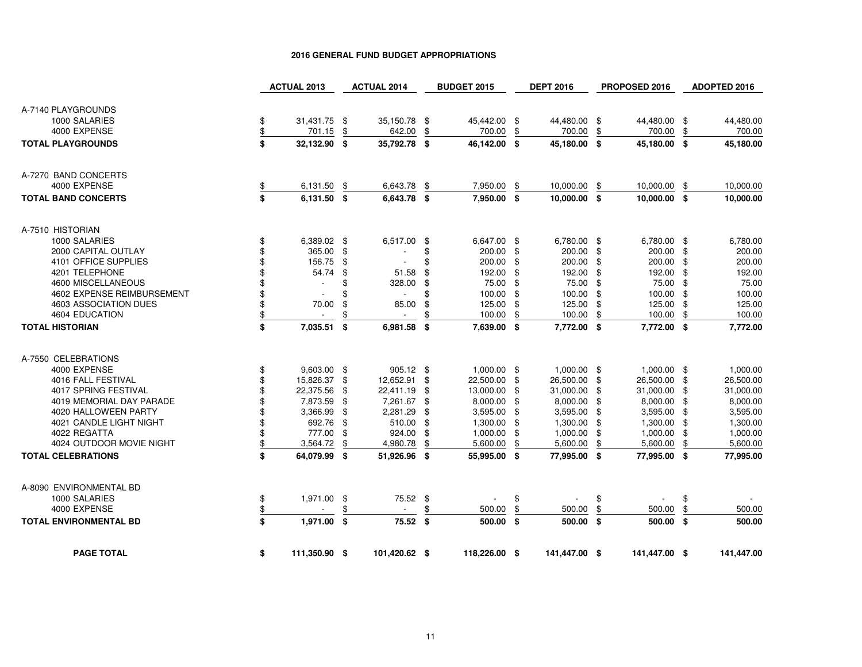|                               |               | <b>ACTUAL 2013</b> |      | <b>ACTUAL 2014</b> |      | <b>BUDGET 2015</b> |               | <b>DEPT 2016</b> |     | PROPOSED 2016 |     | ADOPTED 2016 |
|-------------------------------|---------------|--------------------|------|--------------------|------|--------------------|---------------|------------------|-----|---------------|-----|--------------|
|                               |               |                    |      |                    |      |                    |               |                  |     |               |     |              |
| A-7140 PLAYGROUNDS            |               |                    |      |                    |      |                    |               |                  |     |               |     |              |
| 1000 SALARIES                 | \$            | 31,431.75 \$       |      | 35,150.78 \$       |      | 45,442.00 \$       |               | 44,480.00 \$     |     | 44,480.00 \$  |     | 44,480.00    |
| 4000 EXPENSE                  | $\frac{1}{2}$ | 701.15             | \$   | 642.00             | \$   | 700.00             | \$            | 700.00           | \$  | 700.00        | \$  | 700.00       |
| <b>TOTAL PLAYGROUNDS</b>      | \$            | 32,132.90 \$       |      | 35,792.78 \$       |      | 46,142.00 \$       |               | 45,180.00        | -\$ | 45,180.00 \$  |     | 45,180.00    |
|                               |               |                    |      |                    |      |                    |               |                  |     |               |     |              |
| A-7270 BAND CONCERTS          |               |                    |      |                    |      |                    |               |                  |     |               |     |              |
| 4000 EXPENSE                  | \$            | 6,131.50           | \$   | 6,643.78           | \$   | 7,950.00           | \$            | 10,000.00        | \$  | 10,000.00     | \$  | 10,000.00    |
| <b>TOTAL BAND CONCERTS</b>    | \$            | $6,131.50$ \$      |      | 6,643.78 \$        |      | 7,950.00 \$        |               | 10,000.00 \$     |     | 10,000.00 \$  |     | 10,000.00    |
|                               |               |                    |      |                    |      |                    |               |                  |     |               |     |              |
| A-7510 HISTORIAN              |               |                    |      |                    |      |                    |               |                  |     |               |     |              |
| 1000 SALARIES                 | \$            | 6,389.02 \$        |      | 6,517.00 \$        |      | 6,647.00 \$        |               | 6,780.00 \$      |     | 6,780.00 \$   |     | 6,780.00     |
| 2000 CAPITAL OUTLAY           | \$            | 365.00 \$          |      |                    | \$   | 200.00 \$          |               | 200.00           | \$  | 200.00 \$     |     | 200.00       |
| 4101 OFFICE SUPPLIES          | \$            | 156.75             | -\$  |                    | \$   | 200.00 \$          |               | 200.00           | \$  | 200.00 \$     |     | 200.00       |
| 4201 TELEPHONE                | \$            | 54.74              | \$   | 51.58              | \$   | 192.00             | -\$           | 192.00           | \$  | 192.00        | \$  | 192.00       |
| 4600 MISCELLANEOUS            | \$            | $\blacksquare$     | \$   | 328.00             | \$   | 75.00              | $\frac{1}{2}$ | 75.00            | -\$ | 75.00 \$      |     | 75.00        |
| 4602 EXPENSE REIMBURSEMENT    | \$            |                    | \$   | $\mathbf{r}$       | \$   | 100.00             | -\$           | 100.00           | \$  | 100.00 \$     |     | 100.00       |
| 4603 ASSOCIATION DUES         | \$            | 70.00              | \$   | 85.00              | \$   | 125.00             | \$            | 125.00           | \$  | 125.00        | \$  | 125.00       |
| 4604 EDUCATION                | \$            | $\blacksquare$     |      | $\sim$             | \$   | 100.00             | \$            | 100.00           | \$  | 100.00        | \$  | 100.00       |
| <b>TOTAL HISTORIAN</b>        | \$            | 7,035.51 \$        |      | 6,981.58           | - \$ | 7,639.00 \$        |               | 7,772.00         | \$  | 7,772.00 \$   |     | 7,772.00     |
|                               |               |                    |      |                    |      |                    |               |                  |     |               |     |              |
| A-7550 CELEBRATIONS           |               |                    |      |                    |      |                    |               |                  |     |               |     |              |
| 4000 EXPENSE                  | \$            | $9,603.00$ \$      |      | 905.12 \$          |      | 1,000.00 \$        |               | 1,000.00 \$      |     | 1,000.00 \$   |     | 1,000.00     |
| 4016 FALL FESTIVAL            | \$            | 15,826.37 \$       |      | 12,652.91          | \$   | 22,500.00 \$       |               | 26,500.00        | \$  | 26,500.00     | \$  | 26,500.00    |
| 4017 SPRING FESTIVAL          | \$            | 22,375.56          | \$   | 22,411.19 \$       |      | 13,000.00 \$       |               | 31,000.00        | -\$ | 31,000.00 \$  |     | 31,000.00    |
| 4019 MEMORIAL DAY PARADE      | \$            | 7,873.59           | - \$ | 7,261.67 \$        |      | 8,000.00           | -\$           | 8,000.00         | -\$ | 8,000.00      | -\$ | 8,000.00     |
| 4020 HALLOWEEN PARTY          | \$            | 3,366.99 \$        |      | 2,281.29           | \$   | 3,595.00           | -\$           | 3,595.00         | \$  | 3,595.00      | \$  | 3,595.00     |
| 4021 CANDLE LIGHT NIGHT       | \$            | 692.76             | - \$ | 510.00 \$          |      | 1,300.00 \$        |               | 1,300.00         | -\$ | 1,300.00 \$   |     | 1,300.00     |
| 4022 REGATTA                  | \$            | 777.00             | -\$  | 924.00             | \$   | 1,000.00           | \$            | 1,000.00         | \$  | 1,000.00      | \$  | 1,000.00     |
| 4024 OUTDOOR MOVIE NIGHT      | \$            | 3,564.72           | \$   | 4,980.78           | \$   | 5,600.00           | \$            | 5,600.00         | \$  | 5,600.00      | \$  | 5,600.00     |
| <b>TOTAL CELEBRATIONS</b>     | \$            | 64,079.99 \$       |      | 51,926.96 \$       |      | 55,995.00 \$       |               | 77,995.00        | \$  | 77,995.00 \$  |     | 77,995.00    |
|                               |               |                    |      |                    |      |                    |               |                  |     |               |     |              |
| A-8090 ENVIRONMENTAL BD       |               |                    |      |                    |      |                    |               |                  |     |               |     |              |
| 1000 SALARIES                 | \$            | 1,971.00 \$        |      | 75.52 \$           |      |                    | \$            |                  | \$  |               | \$  |              |
| 4000 EXPENSE                  | \$            |                    | \$   | $\sim$             | \$   | 500.00             | \$            | 500.00           | \$  | 500.00        | \$  | 500.00       |
| <b>TOTAL ENVIRONMENTAL BD</b> | \$            | 1,971.00 \$        |      | 75.52 \$           |      | 500.00 \$          |               | 500.00 \$        |     | 500.00 \$     |     | 500.00       |
| <b>PAGE TOTAL</b>             | \$            | 111,350.90 \$      |      | 101,420.62 \$      |      | 118,226.00 \$      |               | 141,447.00 \$    |     | 141,447.00 \$ |     | 141,447.00   |
|                               |               |                    |      |                    |      |                    |               |                  |     |               |     |              |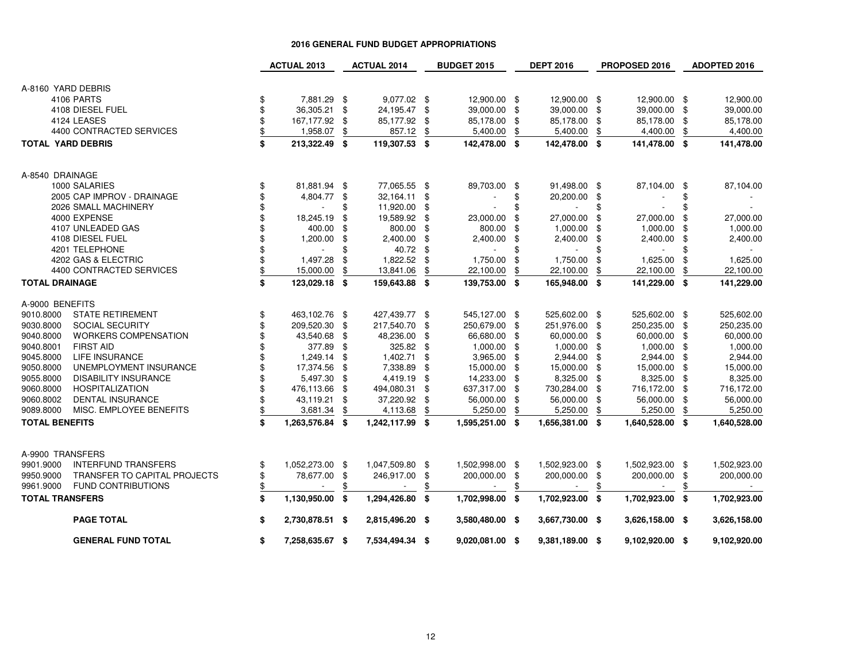#### **ACTUAL 2013 ACTUAL 2014 BUDGET 2015 DEPT 2016 PROPOSED 2016 ADOPTED 2016** A-8160 YARD DEBRIS4106 PARTS \$ 9,077.02 7,881.29 \$ 12,900.00 \$ 12,900.00 \$ 12,900.00 \$ 12,900.00 \$ 4108 DIESEL FUEL \$ 24,195.47 36,305.21 \$ 39,000.00 \$ 39,000.00 \$ 39,000.00 \$ 39,000.00 \$ <sup>4124</sup> LEASES \$ 85,177.92 167,177.92 \$ 85,178.00 \$ 85,178.00 \$ 85,178.00 \$ 85,178.00 \$ 4400 CONTRACTED SERVICES 5  $\frac{$}{$}$  1,958.07  $\frac{$}{$}$  857.12  $\frac{$}{$}$ <br> **\$** 213,322.49 \$ 119,307.53 \$ \$  $857.12 \text{ $$\frac{6}{12}$}$  5,400.00 \$ 5,400.00 \$ 4,400.00 \$ 4,400.00 **TOTAL YARD DEBRIS \$ 213,322.49 \$ 119,307.53 \$ 142,478.00 \$ 142,478.00 \$ 141,478.00 \$ 141,478.00** A-8540 DRAINAGE 1000 SALARIES \$ 77,065.55 81,881.94 \$ 89,703.00 \$ 91,498.00 \$ 87,104.00 \$ 87,104.00 \$ 2005 CAP IMPROV - DRAINAGE  $\begin{array}{ccc}\n2005 & 4,804.77 & \text{\$} \\
2026 & 5 \text{MALL MACHINERY}\n\end{array}$  $\frac{1}{3}$   $\frac{32,164.11 \text{ } \$}{4,804.77 \text{ } \$}$   $\frac{32,164.11 \text{ } \$}{4,804.77 \text{ } \$}$   $\frac{1}{1}$ 2026 SMALL MACHINERY \$ 11,920.00 - \$ - \$ - \$ - \$ - \$ 4000 EXPENSE $\frac{1}{3}$  18,245.19 \$ 19,589.92 \$ 23,000.00 \$ 27,000.00 \$ 27,000.00 \$ 27,000.00 \$ 27,000.00 4107 UNLEADED GAS \$ 800.00 400.00 \$ 800.00 \$ 1,000.00 \$ 1,000.00 \$ 1,000.00 \$ 4108 DIESEL FUEL \$ 2,400.00 1,200.00 \$ 2,400.00 \$ 2,400.00 \$ 2,400.00 \$ 2,400.00 \$ 4201 TELEPHONE \$ 40.72 - \$ - \$ - \$ - \$ - \$ 4202 GAS & ELECTRIC \$ 1,822.52 1,497.28 \$ 1,750.00 \$ 1,750.00 \$ 1,625.00 \$ 1,625.00 \$ 4400 CONTRACTED SERVICES 15,000.00 \$  $\textcolor{red}{\mathfrak{F}}$   $\textcolor{red}{\mathfrak{15,000.00}}$   $\textcolor{red}{\mathfrak{F}}$   $\textcolor{red}{\mathfrak{13,841.06}}$   $\textcolor{red}{\mathfrak{F}}$   $\textcolor{red}{\mathfrak{22,100.00}}$   $\textcolor{red}{\mathfrak{F}}$   $\textcolor{red}{\mathfrak{22,100.00}}$   $\textcolor{red}{\mathfrak{F}}$   $\textcolor{red}{\mathfrak{22,100.00}}$   $\textcolor{red}{\mathfrak{F}}$   $\textcolor{$ **TOTAL DRAINAGE \$ 123,029.18 \$ 159,643.88 \$ 139,753.00 \$ 165,948.00 \$ 141,229.00 \$ 141,229.00** A-9000 BENEFITS 9010.8000 STATE RETIREMENT \$ 427,439.77 463,102.76 \$ 545,127.00 \$ 525,602.00 \$ 525,602.00 \$ 525,602.00 \$ 9030.8000 SOCIAL SECURITY \$ 217,540.70 209,520.30 \$ 250,679.00 \$ 251,976.00 \$ 250,235.00 \$ 250,235.00 \$ 9040.8000 WORKERS COMPENSATION \$43,540.68 \$9040.8001 FIRST AID \$ 43,540.68 \$ 48,236.00 \$ 66,680.00 \$ 60,000.00 \$ 60,000.00 \$ 60,000.00 9040.8001 FIRST AID \$ 325.82 377.89 \$ 1,000.00 \$ 1,000.00 \$ 1,000.00 \$ 1,000.00 \$ 9045.8000 LIFE INSURANCE \$ 1,402.71 1,249.14 \$ 3,965.00 \$ 2,944.00 \$ 2,944.00 \$ 2,944.00 \$ 9050.8000 UNEMPLOYMENT INSURANCE \$ 17.374.56 \$ \$ 17,374.56 \$ 7,338.89 \$ 15,000.00 \$ 15,000.00 \$ 15,000.00 \$ 15,000.00 9055.8000 DISABILITY INSURANCE \$ 5.497.30 \$  $$$  5,497.30 \$ 4,419.19 \$ 14,233.00 \$ 8,325.00 \$ 8,325.00 \$ 8,325.00 9060.8000 HOSPITALIZATION \$ 494,080.31 476,113.66 \$ 637,317.00 \$ 730,284.00 \$ 716,172.00 \$ 716,172.00 \$ 9060.8002 DENTAL INSURANCE \$ 37,220.92 43,119.21 \$ 56,000.00 \$ 56,000.00 \$ 56,000.00 \$ 56,000.00 \$ 9089.8000 MISC. EMPLOYEE BENEFITS  $$3,681.34$  \$  $\frac{$}{\$}$   $\frac{3,681.34}{\$}$   $\frac{\$}{\$}$   $\frac{4,113.68}{\$}$   $\frac{\$}{\$}$   $\frac{5,250.00}{\$}$   $\frac{\$}{\$}$   $\frac{\$}{\$}$   $\frac{5,250.00}{\$}$   $\frac{\$}{\$}$   $\frac{5,250.00}{\$}$ **TOTAL BENEFITS \$ 1,263,576.84 \$ 1,242,117.99 \$ 1,595,251.00 \$ 1,656,381.00 \$ 1,640,528.00 \$ 1,640,528.00** A-9900 TRANSFERS9901.9000 INTERFUND TRANSFERS \$ 1,052,273.00 \$ 1,052,273.00 \$ 1,047,509.80 \$ 1,502,998.00 \$ 1,502,923.00 \$ 1,502,923.00 \$ 1,502,923.00 9950.9000 TRANSFER TO CAPITAL PROJECTS \$78.677.00 \$ \$ 78,677.00 \$ 246,917.00 \$ 200,000.00 \$ 200,000.00 \$ 200,000.00 \$ 200,000.00 9961.9000 FUND CONTRIBUTIONS \$ - - \$ - \$ - \$ - \$ - \$ **TOTAL TRANSFERS \$ 1,130,950.00 \$ 1,294,426.80 \$ 1,702,998.00 \$ 1,702,923.00 \$ 1,702,923.00 \$ 1,702,923.00 PAGE TOTAL \$ 2,730,878.51 \$ 2,815,496.20 \$ 3,580,480.00 \$ 3,667,730.00 \$ 3,626,158.00 \$ 3,626,158.00 GENERAL FUND TOTAL\$ 7,258,635.67 \$ 7,534,494.34 \$ 9,020,081.00 \$ 9,381,189.00 \$ 9,102,920.00 \$ 9,102,920.00**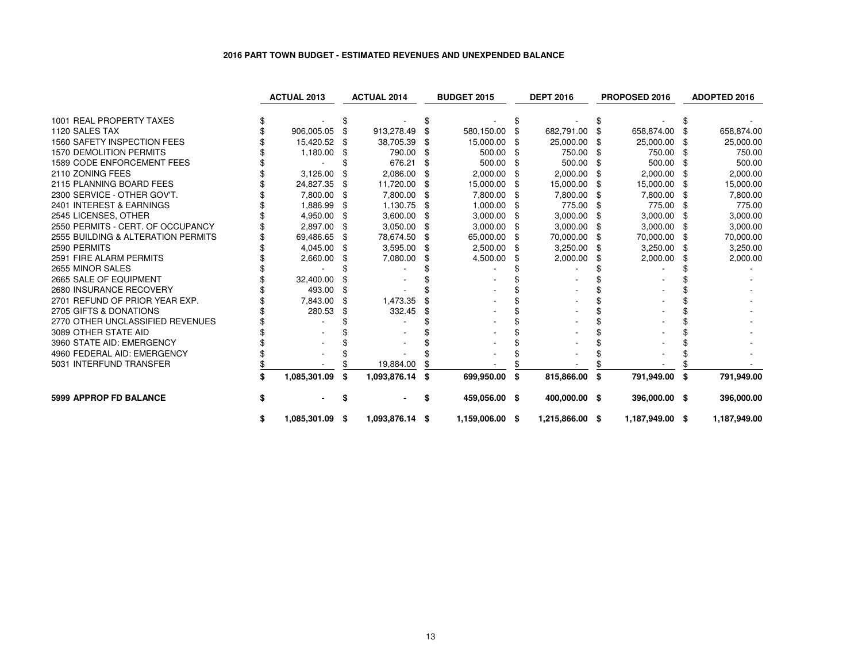### **2016 PART TOWN BUDGET - ESTIMATED REVENUES AND UNEXPENDED BALANCE**

|                                    | <b>ACTUAL 2013</b>    |      | <b>ACTUAL 2014</b> |     | <b>BUDGET 2015</b> |      | <b>DEPT 2016</b> |     | PROPOSED 2016   |      | ADOPTED 2016 |
|------------------------------------|-----------------------|------|--------------------|-----|--------------------|------|------------------|-----|-----------------|------|--------------|
|                                    |                       |      |                    |     |                    |      |                  |     |                 |      |              |
| 1001 REAL PROPERTY TAXES           |                       |      |                    |     |                    |      |                  |     |                 |      |              |
| 1120 SALES TAX                     | 906,005.05            |      | 913,278.49         |     | 580,150.00         |      | 682,791.00       |     | 658,874.00      |      | 658,874.00   |
| 1560 SAFETY INSPECTION FEES        | 15,420.52             | -\$  | 38,705.39          | \$  | 15,000.00          | - \$ | 25,000.00        |     | 25,000.00       |      | 25,000.00    |
| <b>1570 DEMOLITION PERMITS</b>     | 1,180.00              |      | 790.00             |     | 500.00             |      | 750.00           |     | 750.00          |      | 750.00       |
| 1589 CODE ENFORCEMENT FEES         |                       |      | 676.21             |     | 500.00             | -\$  | 500.00           |     | 500.00          |      | 500.00       |
| 2110 ZONING FEES                   | 3,126.00              |      | 2,086.00           |     | 2,000.00           | -\$  | 2,000.00         |     | 2,000.00        | - \$ | 2,000.00     |
| 2115 PLANNING BOARD FEES           | 24,827.35             |      | 11,720.00          |     | 15,000.00          |      | 15,000.00        |     | 15,000.00       |      | 15,000.00    |
| 2300 SERVICE - OTHER GOV'T.        | 7,800.00              |      | 7,800.00           | -SS | 7,800.00           | - \$ | 7,800.00         | æ.  | 7,800.00        | - 35 | 7,800.00     |
| 2401 INTEREST & EARNINGS           | 1,886.99              |      | 1,130.75           | \$  | 1,000.00           |      | 775.00           |     | 775.00          |      | 775.00       |
| 2545 LICENSES, OTHER               | 4,950.00              |      | 3,600.00           |     | 3,000.00           |      | 3,000.00         |     | 3,000.00        |      | 3,000.00     |
| 2550 PERMITS - CERT. OF OCCUPANCY  | 2,897.00              | - \$ | 3,050.00           |     | 3,000.00           | -\$  | 3,000.00         | S   | 3,000.00        | - \$ | 3,000.00     |
| 2555 BUILDING & ALTERATION PERMITS | 69,486.65             |      | 78,674.50          | \$  | 65,000.00          | -S   | 70,000.00        | £.  | 70,000.00       | \$   | 70,000.00    |
| 2590 PERMITS                       | 4,045.00              |      | 3,595.00           | \$  | 2,500.00           | -S   | 3,250.00         | \$. | 3,250.00        | - \$ | 3,250.00     |
| 2591 FIRE ALARM PERMITS            | 2,660.00              |      | 7,080.00           |     | 4,500.00           |      | 2,000.00         |     | 2,000.00        |      | 2,000.00     |
| 2655 MINOR SALES                   |                       |      |                    |     |                    |      |                  |     |                 |      |              |
| 2665 SALE OF EQUIPMENT             | 32,400.00             |      |                    |     |                    |      |                  |     |                 |      |              |
| 2680 INSURANCE RECOVERY            | 493.00                |      |                    |     |                    |      |                  |     |                 |      |              |
| 2701 REFUND OF PRIOR YEAR EXP.     | 7,843.00              |      | 1,473.35           |     |                    |      |                  |     |                 |      |              |
| 2705 GIFTS & DONATIONS             | 280.53                |      | 332.45             |     |                    |      |                  |     |                 |      |              |
| 2770 OTHER UNCLASSIFIED REVENUES   |                       |      |                    |     |                    |      |                  |     |                 |      |              |
| 3089 OTHER STATE AID               |                       |      |                    |     |                    |      |                  |     |                 |      |              |
| 3960 STATE AID: EMERGENCY          |                       |      |                    |     |                    |      |                  |     |                 |      |              |
| 4960 FEDERAL AID: EMERGENCY        |                       |      |                    |     |                    |      |                  |     |                 |      |              |
| 5031 INTERFUND TRANSFER            |                       |      | 19,884.00          |     |                    |      |                  |     |                 |      |              |
|                                    | 1,085,301.09          | \$   | 1,093,876.14       | \$  | 699,950.00         | \$   | 815,866.00       | -\$ | 791,949.00      | \$   | 791,949.00   |
| <b>5999 APPROP FD BALANCE</b>      |                       |      |                    | \$  | 459,056.00 \$      |      | 400,000.00 \$    |     | 396,000.00 \$   |      | 396,000.00   |
|                                    | \$<br>1,085,301.09 \$ |      | 1,093,876.14 \$    |     | 1,159,006.00 \$    |      | 1,215,866.00 \$  |     | 1,187,949.00 \$ |      | 1,187,949.00 |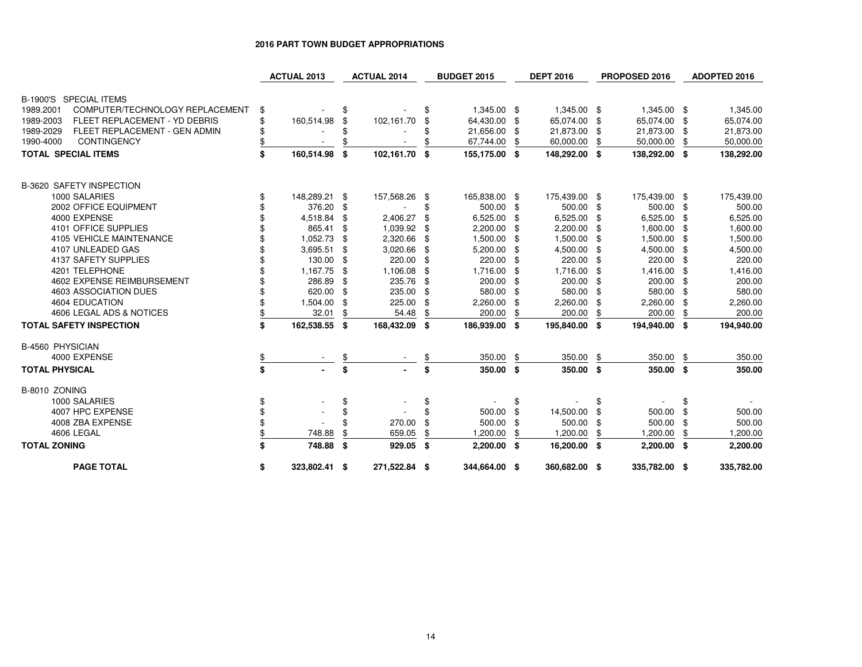## **2016 PART TOWN BUDGET APPROPRIATIONS**

|                                              | <b>ACTUAL 2013</b>  |     | <b>ACTUAL 2014</b> |      | <b>BUDGET 2015</b> |     | <b>DEPT 2016</b> |      | PROPOSED 2016 |      | ADOPTED 2016 |
|----------------------------------------------|---------------------|-----|--------------------|------|--------------------|-----|------------------|------|---------------|------|--------------|
| B-1900'S SPECIAL ITEMS                       |                     |     |                    |      |                    |     |                  |      |               |      |              |
| COMPUTER/TECHNOLOGY REPLACEMENT<br>1989.2001 | \$                  | \$  |                    | \$   | 1,345.00 \$        |     | 1,345.00 \$      |      | 1,345.00 \$   |      | 1,345.00     |
| 1989-2003<br>FLEET REPLACEMENT - YD DEBRIS   | \$<br>160,514.98    | \$  | 102,161.70         | \$   | 64,430.00 \$       |     | 65,074.00        | \$   | 65,074.00     | -\$  | 65,074.00    |
| 1989-2029<br>FLEET REPLACEMENT - GEN ADMIN   |                     |     |                    |      | 21,656.00 \$       |     | 21,873.00        | \$   | 21,873.00     | -\$  | 21,873.00    |
| 1990-4000<br><b>CONTINGENCY</b>              |                     |     |                    |      | 67,744.00          |     | 60,000.00        | S    | 50,000.00     |      | 50,000.00    |
| <b>TOTAL SPECIAL ITEMS</b>                   | \$<br>160,514.98    | \$  | 102,161.70 \$      |      | 155,175.00 \$      |     | 148,292.00 \$    |      | 138,292.00 \$ |      | 138,292.00   |
|                                              |                     |     |                    |      |                    |     |                  |      |               |      |              |
| <b>B-3620 SAFETY INSPECTION</b>              |                     |     |                    |      |                    |     |                  |      |               |      |              |
| 1000 SALARIES                                | \$<br>148,289.21 \$ |     | 157,568.26 \$      |      | 165,838.00 \$      |     | 175,439.00 \$    |      | 175,439.00 \$ |      | 175,439.00   |
| 2002 OFFICE EQUIPMENT                        | 376.20              | \$  |                    |      | 500.00 \$          |     | 500.00 \$        |      | 500.00        | - \$ | 500.00       |
| 4000 EXPENSE                                 | 4,518.84 \$         |     | 2,406.27           | \$   | 6,525.00           | -\$ | 6,525.00         | \$   | 6,525.00      | -\$  | 6,525.00     |
| 4101 OFFICE SUPPLIES                         | 865.41              | -\$ | 1,039.92 \$        |      | 2,200.00 \$        |     | 2,200.00         | -\$  | 1,600.00      | -\$  | 1,600.00     |
| 4105 VEHICLE MAINTENANCE                     | 1,052.73            | -\$ | 2,320.66           | - \$ | 1,500.00           | -\$ | 1,500.00         | -\$  | 1,500.00      | -\$  | 1,500.00     |
| 4107 UNLEADED GAS                            | 3,695.51            | -\$ | 3,020.66 \$        |      | 5,200.00           | £.  | 4,500.00         | - \$ | 4,500.00      | -\$  | 4,500.00     |
| 4137 SAFETY SUPPLIES                         | 130.00              | \$  | 220.00 \$          |      | 220.00             | £.  | 220.00           | \$   | 220.00        | \$   | 220.00       |
| 4201 TELEPHONE                               | 1,167.75            | -\$ | 1,106.08           | -\$  | 1,716.00           | £.  | 1,716.00         | -\$  | 1,416.00      | -\$  | 1,416.00     |
| 4602 EXPENSE REIMBURSEMENT                   | 286.89              | \$  | 235.76             | - \$ | 200.00             | -\$ | 200.00 \$        |      | 200.00        | -\$  | 200.00       |
| 4603 ASSOCIATION DUES                        | 620.00              | -\$ | 235.00 \$          |      | 580.00             | -\$ | 580.00 \$        |      | 580.00        | -\$  | 580.00       |
| <b>4604 EDUCATION</b>                        | 1,504.00            | \$  | 225.00 \$          |      | 2,260.00           | \$  | 2,260.00 \$      |      | 2,260.00      | \$   | 2,260.00     |
| 4606 LEGAL ADS & NOTICES                     | 32.01               | \$  | 54.48              | \$   | 200.00             | \$  | 200.00           | \$   | 200.00        | \$   | 200.00       |
| <b>TOTAL SAFETY INSPECTION</b>               | \$<br>162,538.55 \$ |     | 168,432.09 \$      |      | 186,939.00 \$      |     | 195,840.00 \$    |      | 194,940.00 \$ |      | 194,940.00   |
| B-4560 PHYSICIAN                             |                     |     |                    |      |                    |     |                  |      |               |      |              |
| 4000 EXPENSE                                 |                     |     |                    |      | 350.00             | \$  | 350.00           | \$   | 350.00        | \$   | 350.00       |
| <b>TOTAL PHYSICAL</b>                        | \$                  | \$  |                    | \$   | 350.00 \$          |     | 350.00 \$        |      | 350.00 \$     |      | 350.00       |
| B-8010 ZONING                                |                     |     |                    |      |                    |     |                  |      |               |      |              |
| 1000 SALARIES                                | \$                  | \$  |                    | \$   |                    | S   |                  | \$   |               | S    |              |
| 4007 HPC EXPENSE                             |                     | \$  |                    | \$   | 500.00             | \$  | 14,500.00        | \$   | 500.00        | \$   | 500.00       |
| 4008 ZBA EXPENSE                             |                     |     | 270.00             | \$   | 500.00             | £.  | 500.00           | \$   | 500.00        | \$   | 500.00       |
| 4606 LEGAL                                   | 748.88              |     | 659.05             |      | 1,200.00           |     | 1,200.00         | \$   | 1,200.00      |      | 1,200.00     |
| <b>TOTAL ZONING</b>                          | \$<br>748.88        | \$  | 929.05 \$          |      | $2,200.00$ \$      |     | 16,200.00 \$     |      | 2,200.00 \$   |      | 2,200.00     |
| <b>PAGE TOTAL</b>                            | \$<br>323,802.41 \$ |     | 271,522.84 \$      |      | 344,664.00 \$      |     | 360,682.00 \$    |      | 335,782.00 \$ |      | 335,782.00   |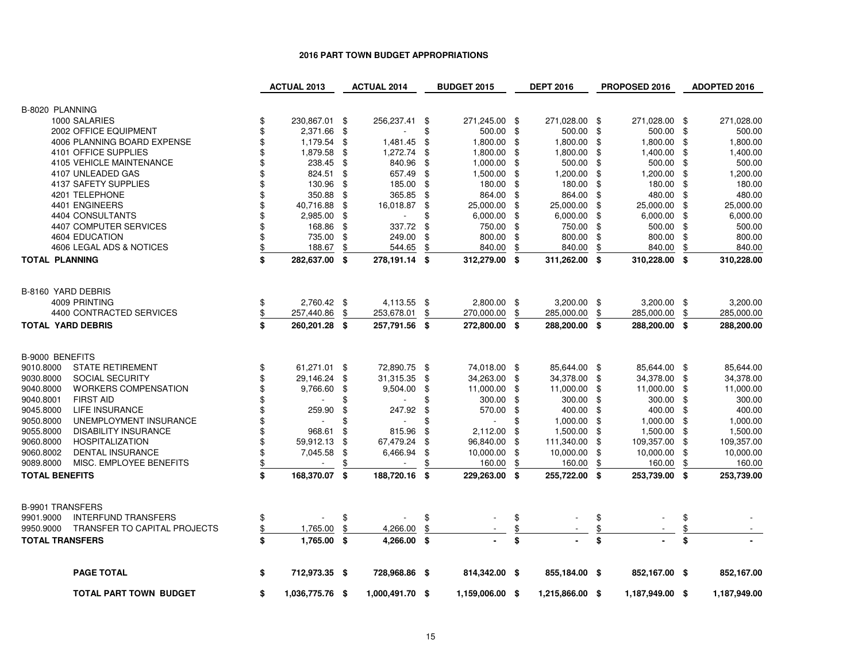## **2016 PART TOWN BUDGET APPROPRIATIONS**

|                                      |                                        |               | <b>ACTUAL 2013</b> | <b>ACTUAL 2014</b>     |      | <b>BUDGET 2015</b> |               | <b>DEPT 2016</b> |     | PROPOSED 2016   |               | <b>ADOPTED 2016</b> |
|--------------------------------------|----------------------------------------|---------------|--------------------|------------------------|------|--------------------|---------------|------------------|-----|-----------------|---------------|---------------------|
|                                      |                                        |               |                    |                        |      |                    |               |                  |     |                 |               |                     |
| B-8020 PLANNING                      |                                        |               |                    |                        |      |                    |               |                  |     |                 |               |                     |
|                                      | 1000 SALARIES                          | \$            | 230,867.01 \$      | 256,237.41 \$          |      | 271,245.00 \$      |               | 271,028.00 \$    |     | 271,028.00 \$   |               | 271,028.00          |
|                                      | 2002 OFFICE EQUIPMENT                  | \$            | 2,371.66 \$        |                        | \$   | 500.00             | - \$          | 500.00           | \$  | 500.00          | \$            | 500.00              |
|                                      | 4006 PLANNING BOARD EXPENSE            | \$            | 1,179.54           | \$<br>1,481.45         | \$   | 1,800.00           | \$            | 1,800.00         | \$  | 1,800.00        | \$            | 1,800.00            |
|                                      | 4101 OFFICE SUPPLIES                   | \$            | 1,879.58           | \$<br>1,272.74         | -\$  | 1,800.00           | \$            | 1,800.00         | \$  | 1,400.00        | \$            | 1,400.00            |
|                                      | 4105 VEHICLE MAINTENANCE               | \$            | 238.45             | \$<br>840.96           | \$   | 1,000.00           | \$            | 500.00           | \$  | 500.00          | \$            | 500.00              |
|                                      | 4107 UNLEADED GAS                      | \$            | 824.51             | \$<br>657.49           | - \$ | 1,500.00           | \$            | 1,200.00         | \$  | 1,200.00        | \$            | 1,200.00            |
|                                      | 4137 SAFETY SUPPLIES<br>4201 TELEPHONE | \$            | 130.96             | \$<br>185.00<br>365.85 | \$   | 180.00<br>864.00   | \$            | 180.00           | \$  | 180.00          | \$            | 180.00<br>480.00    |
|                                      |                                        | \$            | 350.88             | \$                     | -\$  |                    | \$            | 864.00           | \$  | 480.00          | \$            |                     |
|                                      | 4401 ENGINEERS                         | \$            | 40,716.88          | \$<br>16,018.87 \$     |      | 25,000.00          | \$            | 25,000.00        | \$  | 25,000.00       | \$            | 25,000.00           |
|                                      | 4404 CONSULTANTS                       | \$<br>\$      | 2,985.00           | \$                     | \$   | 6,000.00           | \$            | 6,000.00         | \$  | 6,000.00        | \$            | 6,000.00            |
|                                      | 4407 COMPUTER SERVICES                 |               | 168.86 \$          | 337.72                 | \$   | 750.00             | \$            | 750.00           | \$  | 500.00          | \$            | 500.00              |
|                                      | 4604 EDUCATION                         | \$            | 735.00 \$          | 249.00                 | - \$ | 800.00             | -\$           | 800.00           | \$  | 800.00          | \$            | 800.00              |
|                                      | 4606 LEGAL ADS & NOTICES               | \$            | 188.67             | \$<br>544.65           | \$   | 840.00             | \$            | 840.00           | \$  | 840.00          | \$            | 840.00              |
| <b>TOTAL PLANNING</b>                |                                        | \$            | 282,637.00 \$      | 278,191.14 \$          |      | 312,279.00 \$      |               | 311,262.00 \$    |     | 310,228.00 \$   |               | 310,228.00          |
|                                      |                                        |               |                    |                        |      |                    |               |                  |     |                 |               |                     |
| B-8160 YARD DEBRIS                   | 4009 PRINTING                          | \$            | 2,760.42 \$        | 4,113.55 \$            |      | 2,800.00 \$        |               | 3,200.00 \$      |     | 3,200.00 \$     |               | 3,200.00            |
|                                      | 4400 CONTRACTED SERVICES               |               |                    |                        | \$   |                    | \$            |                  |     |                 |               |                     |
|                                      |                                        | \$            | 257,440.86         | \$<br>253,678.01       |      | 270,000.00         |               | 285,000.00       | \$  | 285,000.00      | \$            | 285,000.00          |
| <b>TOTAL YARD DEBRIS</b>             |                                        | \$            | 260,201.28 \$      | 257,791.56 \$          |      | 272,800.00 \$      |               | 288,200.00 \$    |     | 288,200.00 \$   |               | 288,200.00          |
|                                      |                                        |               |                    |                        |      |                    |               |                  |     |                 |               |                     |
| B-9000 BENEFITS                      |                                        |               |                    |                        |      |                    |               |                  |     |                 |               |                     |
| 9010.8000                            | <b>STATE RETIREMENT</b>                | \$            | 61,271.01 \$       | 72,890.75 \$           |      | 74,018.00 \$       |               | 85,644.00 \$     |     | 85,644.00 \$    |               | 85,644.00           |
| 9030.8000                            | SOCIAL SECURITY                        | \$            | 29,146.24          | \$<br>31,315.35        | -\$  | 34,263.00          | - \$          | 34,378.00        | \$  | 34,378.00       | \$            | 34,378.00           |
| 9040.8000                            | <b>WORKERS COMPENSATION</b>            | \$            | 9,766.60           | \$<br>9,504.00         | \$   | 11,000.00          | \$            | 11,000.00        | -\$ | 11,000.00       | \$            | 11,000.00           |
| 9040.8001                            | <b>FIRST AID</b>                       | \$            |                    | \$                     | \$   | 300.00             | - \$          | 300.00           | \$  | 300.00 \$       |               | 300.00              |
| 9045.8000                            | <b>LIFE INSURANCE</b>                  | \$            | 259.90             | \$<br>247.92           | \$   | 570.00             | -\$           | 400.00           | \$  | 400.00          | \$            | 400.00              |
| 9050.8000                            | UNEMPLOYMENT INSURANCE                 | \$            |                    |                        | \$   |                    | \$            | 1,000.00         | \$  | 1,000.00        | \$            | 1,000.00            |
| 9055.8000                            | <b>DISABILITY INSURANCE</b>            | \$            | 968.61             | \$<br>815.96           | \$   | 2,112.00           | \$            | 1,500.00         | -\$ | 1,500.00        | \$            | 1,500.00            |
| 9060.8000                            | <b>HOSPITALIZATION</b>                 | \$            | 59,912.13          | \$<br>67,479.24        | \$   | 96,840.00          | \$            | 111,340.00       | \$  | 109,357.00      | \$            | 109,357.00          |
| 9060.8002                            | <b>DENTAL INSURANCE</b>                | \$            | 7,045.58           | \$<br>6,466.94         | \$   | 10,000.00          | \$            | 10,000.00        | \$  | 10,000.00       | \$            | 10,000.00           |
| 9089.8000                            | MISC. EMPLOYEE BENEFITS                | \$            |                    |                        | \$   | 160.00             | \$            | 160.00           | S   | 160.00          | \$            | 160.00              |
| <b>TOTAL BENEFITS</b>                |                                        | \$            | 168,370.07 \$      | 188,720.16             | - \$ | 229,263.00 \$      |               | 255,722.00 \$    |     | 253,739.00 \$   |               | 253,739.00          |
|                                      |                                        |               |                    |                        |      |                    |               |                  |     |                 |               |                     |
| <b>B-9901 TRANSFERS</b><br>9901.9000 | <b>INTERFUND TRANSFERS</b>             | \$            |                    | \$                     | \$   |                    | \$            |                  | \$  |                 | \$            |                     |
| 9950.9000                            | TRANSFER TO CAPITAL PROJECTS           | $\frac{1}{2}$ | 1,765.00           | \$<br>4,266.00         | \$   |                    | $\frac{1}{2}$ |                  | \$  |                 | $\frac{1}{2}$ |                     |
| <b>TOTAL TRANSFERS</b>               |                                        | \$            | 1,765.00 \$        | 4,266.00 \$            |      |                    | \$            |                  | \$  |                 | \$            |                     |
|                                      |                                        |               |                    |                        |      |                    |               |                  |     |                 |               |                     |
|                                      | <b>PAGE TOTAL</b>                      | \$            | 712,973.35 \$      | 728,968.86 \$          |      | 814,342.00 \$      |               | 855,184.00 \$    |     | 852,167.00 \$   |               | 852,167.00          |
|                                      | TOTAL PART TOWN BUDGET                 | \$            | 1,036,775.76 \$    | 1,000,491.70 \$        |      | 1,159,006.00 \$    |               | 1,215,866.00 \$  |     | 1,187,949.00 \$ |               | 1,187,949.00        |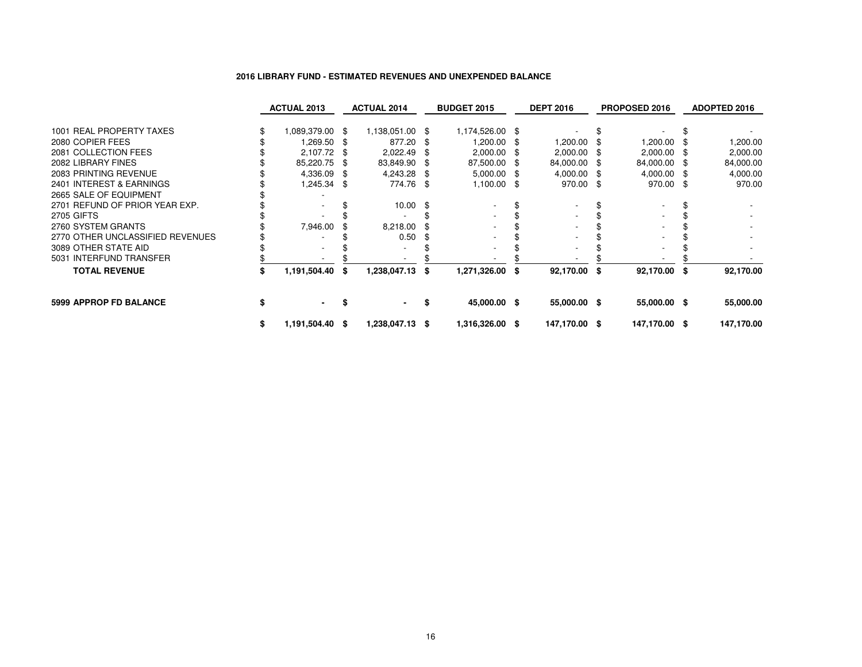### **2016 LIBRARY FUND - ESTIMATED REVENUES AND UNEXPENDED BALANCE**

|                                  |   | <b>ACTUAL 2013</b> |      | <b>ACTUAL 2014</b> |      | <b>BUDGET 2015</b> |      | <b>DEPT 2016</b> |      | PROPOSED 2016 |      | ADOPTED 2016 |
|----------------------------------|---|--------------------|------|--------------------|------|--------------------|------|------------------|------|---------------|------|--------------|
| 1001 REAL PROPERTY TAXES         |   | 1,089,379.00 \$    |      | 1,138,051.00 \$    |      | 1,174,526.00 \$    |      |                  |      |               |      |              |
| 2080 COPIER FEES                 |   | \$ 269.50.         |      | 877.20             |      | 1,200.00 \$        |      | 1,200.00         |      | ۔ 200.00, 1   |      | 1,200.00     |
| 2081 COLLECTION FEES             |   | 2,107.72 \$        |      | 2,022.49           | - 35 | 2,000.00           | - \$ | 2,000.00         | - \$ | 2,000.00      | - 35 | 2,000.00     |
| 2082 LIBRARY FINES               |   | 85,220.75 \$       |      | 83,849.90          | - \$ | 87,500.00 \$       |      | 84,000.00        | - \$ | 84,000.00 \$  |      | 84,000.00    |
| 2083 PRINTING REVENUE            |   | 4,336.09 \$        |      | 4,243.28           | - \$ | $5,000.00$ \$      |      | 4,000.00         | - \$ | $4,000.00$ \$ |      | 4,000.00     |
| 2401 INTEREST & EARNINGS         |   | 1,245.34 \$        |      | 774.76             | - \$ | 1,100.00 \$        |      | 970.00           | - \$ | 970.00 \$     |      | 970.00       |
| 2665 SALE OF EQUIPMENT           |   |                    |      |                    |      |                    |      |                  |      |               |      |              |
| 2701 REFUND OF PRIOR YEAR EXP.   |   |                    |      | $10.00$ \$         |      |                    |      |                  |      |               |      |              |
| <b>2705 GIFTS</b>                |   |                    |      |                    |      |                    |      |                  |      |               |      |              |
| 2760 SYSTEM GRANTS               |   | 7,946.00           |      | 8,218.00           |      |                    |      |                  |      |               |      |              |
| 2770 OTHER UNCLASSIFIED REVENUES |   |                    |      | 0.50               | - 35 |                    |      |                  |      |               |      |              |
| 3089 OTHER STATE AID             |   |                    |      |                    |      |                    |      |                  |      |               |      |              |
| 5031 INTERFUND TRANSFER          |   |                    |      |                    |      |                    |      |                  |      |               |      |              |
| <b>TOTAL REVENUE</b>             |   | 1,191,504.40       | - 56 | 1,238,047.13       | S    | 1,271,326.00 \$    |      | 92,170.00        | S    | 92,170.00 \$  |      | 92,170.00    |
| <b>5999 APPROP FD BALANCE</b>    |   | $\sim$             |      |                    | S    | 45,000.00 \$       |      | 55,000.00 \$     |      | 55,000.00 \$  |      | 55,000.00    |
|                                  | S | 1,191,504.40 \$    |      | 1,238,047.13       | - \$ | 1,316,326.00 \$    |      | 147,170.00 \$    |      | 147,170.00 \$ |      | 147,170.00   |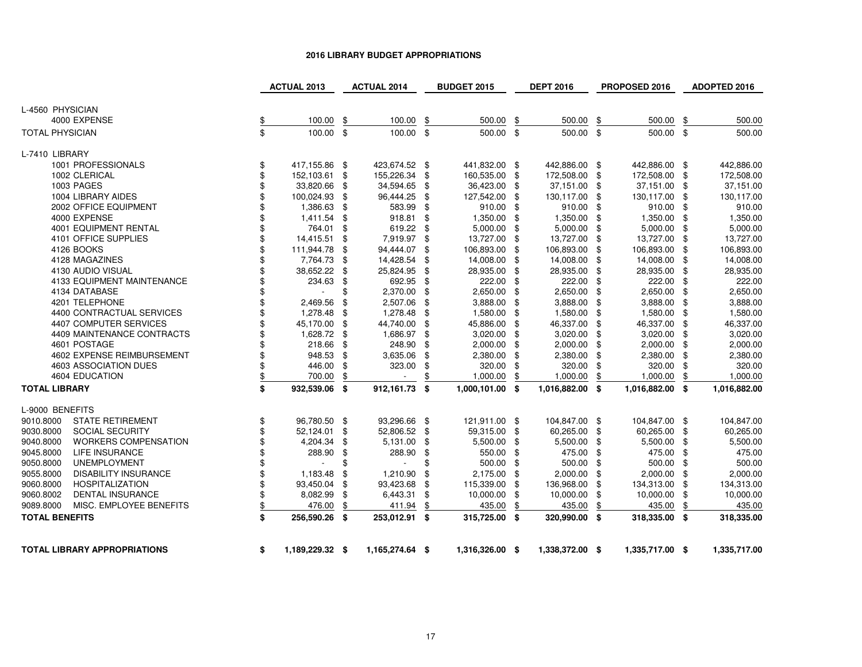## **2016 LIBRARY BUDGET APPROPRIATIONS**

|                                          | <b>ACTUAL 2013</b>    |      | <b>ACTUAL 2014</b>       |                | <b>BUDGET 2015</b> | <b>DEPT 2016</b> | PROPOSED 2016       |     | ADOPTED 2016 |
|------------------------------------------|-----------------------|------|--------------------------|----------------|--------------------|------------------|---------------------|-----|--------------|
| L-4560 PHYSICIAN                         |                       |      |                          |                |                    |                  |                     |     |              |
| 4000 EXPENSE                             | \$<br>100.00          | \$   | 100.00                   | \$             | 500.00             | \$<br>500.00     | \$<br>500.00        | \$  | 500.00       |
| <b>TOTAL PHYSICIAN</b>                   | \$<br>100.00 \$       |      | 100.00 \$                |                | 500.00 \$          | 500.00 \$        | 500.00 \$           |     | 500.00       |
| L-7410 LIBRARY                           |                       |      |                          |                |                    |                  |                     |     |              |
| 1001 PROFESSIONALS                       | \$<br>417,155.86      | - \$ | 423,674.52 \$            |                | 441,832.00 \$      | 442,886.00 \$    | 442,886.00 \$       |     | 442,886.00   |
| 1002 CLERICAL                            | \$<br>152,103.61 \$   |      | 155,226.34 \$            |                | 160,535.00 \$      | 172,508.00       | \$<br>172,508.00 \$ |     | 172,508.00   |
| <b>1003 PAGES</b>                        | 33,820.66             | - \$ | 34,594.65 \$             |                | 36,423.00 \$       | 37,151.00        | \$<br>37,151.00 \$  |     | 37,151.00    |
| 1004 LIBRARY AIDES                       | 100,024.93 \$         |      | 96,444.25 \$             |                | 127,542.00 \$      | 130,117.00       | \$<br>130,117.00 \$ |     | 130,117.00   |
| 2002 OFFICE EQUIPMENT                    | 1,386.63 \$           |      | 583.99 \$                |                | 910.00             | \$<br>910.00     | \$<br>910.00 \$     |     | 910.00       |
| 4000 EXPENSE                             | 1,411.54 \$           |      | 918.81                   | -\$            | 1,350.00           | \$<br>1,350.00   | \$<br>1,350.00 \$   |     | 1,350.00     |
| <b>4001 EQUIPMENT RENTAL</b>             | 764.01 \$             |      | 619.22                   | - \$           | $5,000.00$ \$      | 5,000.00         | \$<br>$5,000.00$ \$ |     | 5,000.00     |
| 4101 OFFICE SUPPLIES                     | 14,415.51             | - \$ | 7,919.97 \$              |                | 13,727.00          | \$<br>13,727.00  | \$<br>13,727.00 \$  |     | 13,727.00    |
| 4126 BOOKS                               | 111,944.78            | -\$  | 94,444.07 \$             |                | 106,893.00         | \$<br>106,893.00 | \$<br>106,893.00    | \$  | 106,893.00   |
| 4128 MAGAZINES                           | 7,764.73 \$           |      | 14,428.54                | \$             | 14,008.00          | \$<br>14,008.00  | \$<br>14,008.00     | \$  | 14,008.00    |
| 4130 AUDIO VISUAL                        | 38,652.22             | - \$ | 25,824.95                | \$             | 28,935.00          | \$<br>28,935.00  | \$<br>28,935.00 \$  |     | 28,935.00    |
| 4133 EQUIPMENT MAINTENANCE               | 234.63                | \$   | 692.95 \$                |                | 222.00             | \$<br>222.00     | \$<br>222.00 \$     |     | 222.00       |
| 4134 DATABASE                            |                       | \$   | 2,370.00 \$              |                | 2,650.00 \$        | 2,650.00         | \$<br>2,650.00 \$   |     | 2,650.00     |
| 4201 TELEPHONE                           | 2,469.56              | \$   | 2,507.06                 | $\mathfrak{s}$ | 3,888.00           | \$<br>3,888.00   | \$<br>3,888.00      | \$  | 3,888.00     |
| 4400 CONTRACTUAL SERVICES                | 1,278.48              | - \$ | 1,278.48 \$              |                | 1,580.00           | \$<br>1,580.00   | \$<br>1,580.00 \$   |     | 1,580.00     |
| 4407 COMPUTER SERVICES                   | 45,170.00 \$          |      | 44,740.00                | -\$            | 45,886.00          | \$<br>46,337.00  | \$<br>46,337.00     | \$  | 46,337.00    |
| 4409 MAINTENANCE CONTRACTS               | 1,628.72              | -\$  | 1,686.97 \$              |                | 3,020.00           | \$<br>3,020.00   | \$<br>3,020.00      | \$  | 3,020.00     |
| 4601 POSTAGE                             | 218.66                | -\$  | 248.90                   | \$             | 2,000.00           | \$<br>2,000.00   | \$<br>$2,000.00$ \$ |     | 2,000.00     |
| 4602 EXPENSE REIMBURSEMENT               | 948.53                | -\$  | 3,635.06                 | \$             | 2,380.00 \$        | 2,380.00         | \$<br>2,380.00      | -\$ | 2,380.00     |
| 4603 ASSOCIATION DUES                    | 446.00                | \$   | 323.00                   | \$             | 320.00             | \$<br>320.00     | \$<br>320.00        | \$  | 320.00       |
| 4604 EDUCATION                           | 700.00                | \$   | $\overline{\phantom{a}}$ | \$             | 1,000.00           | \$<br>1,000.00   | \$<br>1,000.00      | \$  | 1,000.00     |
| <b>TOTAL LIBRARY</b>                     | \$<br>932,539.06 \$   |      | 912,161.73 \$            |                | 1,000,101.00 \$    | 1,016,882.00 \$  | 1,016,882.00 \$     |     | 1,016,882.00 |
| L-9000 BENEFITS                          |                       |      |                          |                |                    |                  |                     |     |              |
| 9010.8000<br><b>STATE RETIREMENT</b>     | \$<br>96,780.50 \$    |      | 93,296.66 \$             |                | 121,911.00 \$      | 104,847.00 \$    | 104,847.00 \$       |     | 104,847.00   |
| <b>SOCIAL SECURITY</b><br>9030.8000      | \$<br>52,124.01 \$    |      | 52,806.52 \$             |                | 59,315.00 \$       | 60,265.00        | \$<br>60,265.00 \$  |     | 60,265.00    |
| 9040.8000<br><b>WORKERS COMPENSATION</b> | 4,204.34 \$           |      | 5,131.00                 | -\$            | 5,500.00 \$        | 5,500.00         | \$<br>5,500.00 \$   |     | 5,500.00     |
| 9045.8000<br>LIFE INSURANCE              | \$<br>288.90          | \$   | 288.90                   | \$             | 550.00 \$          | 475.00           | \$<br>475.00 \$     |     | 475.00       |
| 9050.8000<br><b>UNEMPLOYMENT</b>         |                       | \$   |                          | \$             | 500.00 \$          | 500.00           | \$<br>500.00 \$     |     | 500.00       |
| 9055.8000<br><b>DISABILITY INSURANCE</b> | 1,183.48              | \$   | 1,210.90                 | \$             | 2,175.00           | \$<br>2,000.00   | \$<br>2,000.00 \$   |     | 2,000.00     |
| 9060.8000<br><b>HOSPITALIZATION</b>      | 93,450.04 \$          |      | 93,423.68                | - \$           | 115,339.00 \$      | 136,968.00       | \$<br>134,313.00 \$ |     | 134,313.00   |
| 9060.8002<br><b>DENTAL INSURANCE</b>     | 8,082.99              | \$   | 6,443.31 \$              |                | 10,000.00          | \$<br>10,000.00  | \$<br>10,000.00 \$  |     | 10,000.00    |
| 9089.8000<br>MISC. EMPLOYEE BENEFITS     | 476.00                | \$   | 411.94                   | \$             | 435.00             | \$<br>435.00     | \$<br>435.00        | \$  | 435.00       |
| <b>TOTAL BENEFITS</b>                    | \$<br>256,590.26      | - \$ | 253,012.91 \$            |                | 315,725.00 \$      | 320,990.00 \$    | 318,335.00 \$       |     | 318,335.00   |
| TOTAL LIBRARY APPROPRIATIONS             | \$<br>1,189,229.32 \$ |      | 1,165,274.64 \$          |                | 1,316,326.00 \$    | 1,338,372.00 \$  | 1,335,717.00 \$     |     | 1,335,717.00 |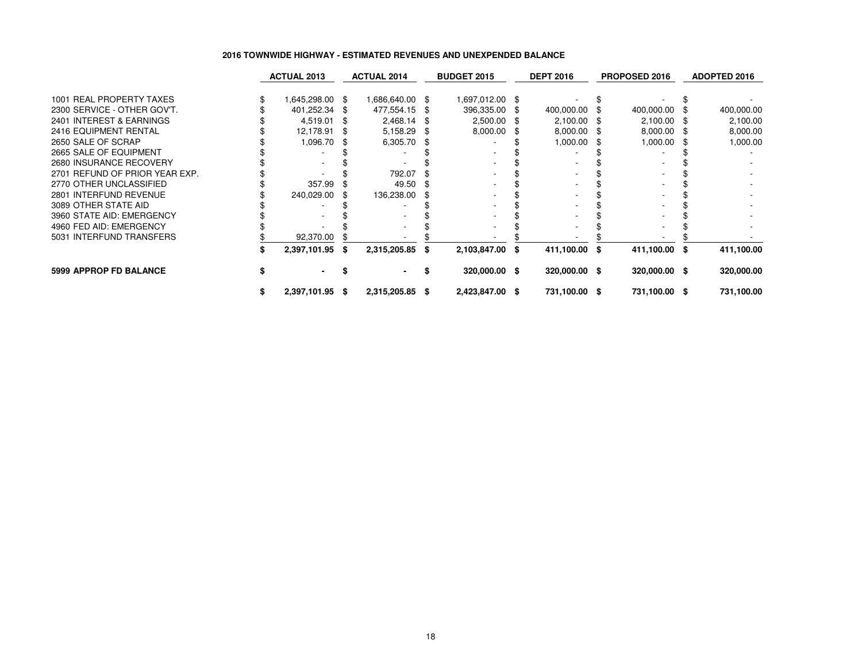## **2016 TOWNWIDE HIGHWAY - ESTIMATED REVENUES AND UNEXPENDED BALANCE**

|                                | <b>ACTUAL 2013</b> | <b>ACTUAL 2014</b> |      | <b>BUDGET 2015</b> | <b>DEPT 2016</b> | <b>PROPOSED 2016</b> | <b>ADOPTED 2016</b> |
|--------------------------------|--------------------|--------------------|------|--------------------|------------------|----------------------|---------------------|
|                                |                    |                    |      |                    |                  |                      |                     |
| 1001 REAL PROPERTY TAXES       | 1,645,298.00 \$    | \$,686,640.00      |      | 1,697,012.00 \$    |                  |                      |                     |
| 2300 SERVICE - OTHER GOV'T.    | 401,252.34 \$      | 477,554.15 \$      |      | 396,335.00 \$      | 400,000.00       | 400,000.00           | 400,000.00          |
| 2401 INTEREST & EARNINGS       | 4,519.01 \$        | 2,468.14 \$        |      | 2,500.00 \$        | $2,100.00$ \$    | $2,100.00$ \$        | 2,100.00            |
| 2416 EQUIPMENT RENTAL          | 12,178.91          | 5,158.29           | - \$ | 8,000.00           | 8,000.00         | $8,000.00$ \$        | 8,000.00            |
| 2650 SALE OF SCRAP             | 1,096.70           | 6,305.70           |      |                    | 1,000.00         | 1,000.00             | 1,000.00            |
| 2665 SALE OF EQUIPMENT         |                    |                    |      |                    |                  |                      |                     |
| 2680 INSURANCE RECOVERY        |                    |                    |      |                    |                  |                      |                     |
| 2701 REFUND OF PRIOR YEAR EXP. |                    | 792.07             |      |                    |                  |                      |                     |
| 2770 OTHER UNCLASSIFIED        | 357.99             | 49.50              |      |                    |                  |                      |                     |
| 2801 INTERFUND REVENUE         | 240,029.00         | 136,238.00         |      |                    |                  |                      |                     |
| 3089 OTHER STATE AID           |                    |                    |      |                    |                  |                      |                     |
| 3960 STATE AID: EMERGENCY      |                    |                    |      |                    |                  |                      |                     |
| 4960 FED AID: EMERGENCY        |                    |                    |      |                    |                  |                      |                     |
| 5031 INTERFUND TRANSFERS       | 92,370.00          |                    |      |                    |                  |                      |                     |
|                                | 2,397,101.95 \$    | 2,315,205.85       | - \$ | 2,103,847.00 \$    | 411,100.00 \$    | 411,100.00 \$        | 411,100.00          |
| 5999 APPROP FD BALANCE         |                    |                    |      | 320,000.00 \$      | 320,000.00 \$    | 320,000.00 \$        | 320,000.00          |
|                                | 2,397,101.95 \$    | 2,315,205.85 \$    |      | 2,423,847.00 \$    | 731,100.00 \$    | 731,100.00 \$        | 731,100.00          |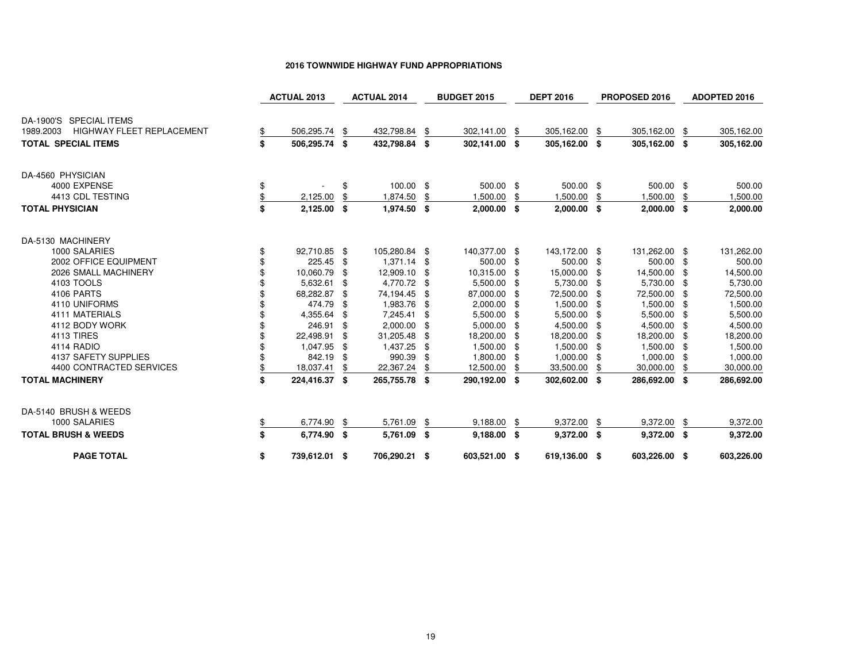|                                        |    | <b>ACTUAL 2013</b> |      | <b>ACTUAL 2014</b> |      | <b>BUDGET 2015</b> |      | <b>DEPT 2016</b> |     | PROPOSED 2016 |     | <b>ADOPTED 2016</b> |
|----------------------------------------|----|--------------------|------|--------------------|------|--------------------|------|------------------|-----|---------------|-----|---------------------|
| DA-1900'S SPECIAL ITEMS                |    |                    |      |                    |      |                    |      |                  |     |               |     |                     |
| HIGHWAY FLEET REPLACEMENT<br>1989.2003 |    | 506,295.74         | \$   | 432,798.84         | \$   | 302,141.00         | \$   | 305,162.00       | \$  | 305,162.00    | \$  | 305,162.00          |
| TOTAL SPECIAL ITEMS                    | \$ | 506,295.74 \$      |      | 432,798.84 \$      |      | 302,141.00 \$      |      | 305,162.00 \$    |     | 305,162.00 \$ |     | 305,162.00          |
| DA-4560 PHYSICIAN                      |    |                    |      |                    |      |                    |      |                  |     |               |     |                     |
| 4000 EXPENSE                           | S  |                    | S    | 100.00 \$          |      | 500.00 \$          |      | 500.00 \$        |     | 500.00 \$     |     | 500.00              |
| 4413 CDL TESTING                       |    | 2,125.00           | \$   | 1,874.50           | \$   | 1,500.00           |      | 1,500.00         | \$  | 1,500.00      |     | 1,500.00            |
| TOTAL PHYSICIAN                        | \$ | $2,125.00$ \$      |      | 1,974.50 \$        |      | $2,000.00$ \$      |      | $2,000.00$ \$    |     | $2,000.00$ \$ |     | 2,000.00            |
| DA-5130 MACHINERY                      |    |                    |      |                    |      |                    |      |                  |     |               |     |                     |
| 1000 SALARIES                          | \$ | 92,710.85 \$       |      | 105,280.84 \$      |      | 140,377.00 \$      |      | 143,172.00 \$    |     | 131,262.00 \$ |     | 131,262.00          |
| 2002 OFFICE EQUIPMENT                  |    | 225.45 \$          |      | 1,371.14 \$        |      | 500.00 \$          |      | 500.00           | -\$ | 500.00 \$     |     | 500.00              |
| 2026 SMALL MACHINERY                   |    | 10,060.79 \$       |      | 12,909.10 \$       |      | 10,315.00          | - \$ | 15,000.00        |     | 14,500.00     | \$. | 14,500.00           |
| 4103 TOOLS                             |    | 5,632.61           | - \$ | 4,770.72 \$        |      | 5,500.00 \$        |      | 5,730.00         |     | 5,730.00      |     | 5,730.00            |
| <b>4106 PARTS</b>                      |    | 68,282.87 \$       |      | 74,194.45 \$       |      | 87,000.00 \$       |      | 72,500.00        |     | 72,500.00 \$  |     | 72,500.00           |
| 4110 UNIFORMS                          |    | 474.79             | - \$ | 1,983.76 \$        |      | $2,000.00$ \$      |      | 1,500.00         |     | 1,500.00 \$   |     | 1,500.00            |
| 4111 MATERIALS                         |    | 4,355.64 \$        |      | 7,245.41 \$        |      | 5,500.00 \$        |      | 5,500.00         |     | 5,500.00      | -\$ | 5,500.00            |
| 4112 BODY WORK                         |    | 246.91             | -S   | $2,000.00$ \$      |      | 5,000.00 \$        |      | 4,500.00         |     | 4,500.00      | \$  | 4,500.00            |
| <b>4113 TIRES</b>                      |    | 22,498.91          | -S   | 31,205.48 \$       |      | 18,200.00          | - \$ | 18,200.00        |     | 18,200.00     | \$  | 18,200.00           |
| 4114 RADIO                             |    | 1,047.95           |      | 1,437.25           | - \$ | 1,500.00           |      | 1,500.00         |     | 1,500.00      |     | 1,500.00            |
| 4137 SAFETY SUPPLIES                   |    | 842.19             |      | 990.39             | \$   | 1,800.00           |      | 1,000.00         |     | 1,000.00      |     | 1,000.00            |
| 4400 CONTRACTED SERVICES               |    | 18,037.41          | S    | 22,367.24          | S    | 12,500.00          |      | 33,500.00        |     | 30,000.00     |     | 30,000.00           |
| TOTAL MACHINERY                        | \$ | 224,416.37 \$      |      | 265,755.78 \$      |      | 290,192.00 \$      |      | 302,602.00 \$    |     | 286,692.00 \$ |     | 286,692.00          |
| DA-5140 BRUSH & WEEDS                  |    |                    |      |                    |      |                    |      |                  |     |               |     |                     |
| 1000 SALARIES                          |    | 6,774.90           | \$   | 5,761.09           | \$   | 9,188.00           | \$   | 9,372.00         | \$  | 9,372.00      | \$  | 9,372.00            |
| <b>TOTAL BRUSH &amp; WEEDS</b>         | \$ | 6,774.90 \$        |      | 5,761.09 \$        |      | $9,188.00$ \$      |      | $9,372.00$ \$    |     | 9,372.00 \$   |     | 9,372.00            |
| <b>PAGE TOTAL</b>                      | \$ | 739,612.01 \$      |      | 706,290.21 \$      |      | 603,521.00 \$      |      | 619,136.00 \$    |     | 603,226.00 \$ |     | 603,226.00          |

## **2016 TOWNWIDE HIGHWAY FUND APPROPRIATIONS**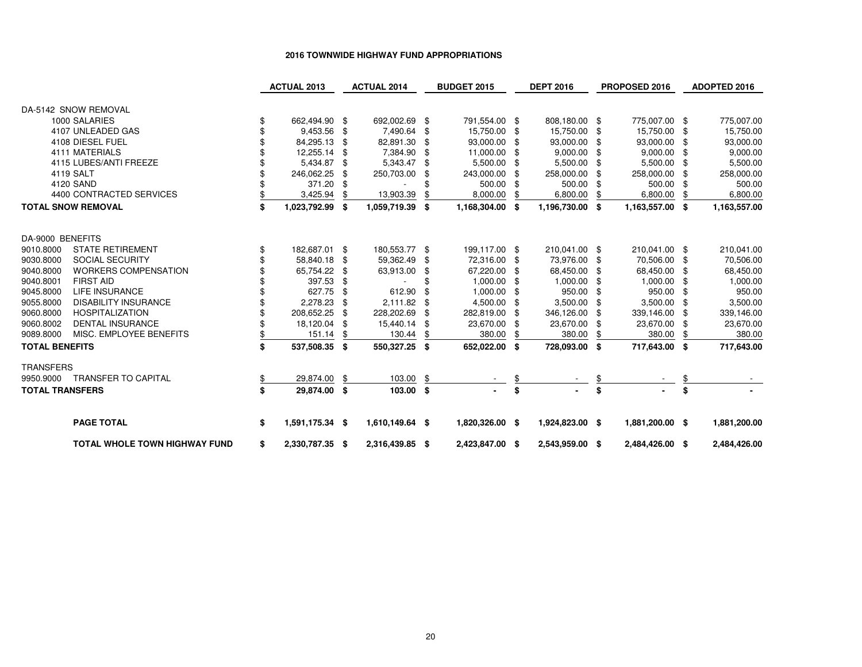### **2016 TOWNWIDE HIGHWAY FUND APPROPRIATIONS**

|                        |                                                   | <b>ACTUAL 2013</b>    |      | <b>ACTUAL 2014</b> |      | <b>BUDGET 2015</b> |      | <b>DEPT 2016</b> |      | <b>PROPOSED 2016</b> |     | ADOPTED 2016 |
|------------------------|---------------------------------------------------|-----------------------|------|--------------------|------|--------------------|------|------------------|------|----------------------|-----|--------------|
|                        | DA-5142 SNOW REMOVAL                              |                       |      |                    |      |                    |      |                  |      |                      |     |              |
|                        | 1000 SALARIES                                     | \$<br>662,494.90 \$   |      | 692,002.69 \$      |      | 791,554.00 \$      |      | 808,180.00       | -\$  | 775,007.00 \$        |     | 775,007.00   |
|                        | 4107 UNLEADED GAS                                 | 9,453.56 \$           |      | 7,490.64           | \$   | 15,750.00 \$       |      | 15,750.00        | \$   | 15,750.00 \$         |     | 15,750.00    |
|                        | 4108 DIESEL FUEL                                  | 84,295.13 \$          |      | 82,891.30          | \$   | 93,000.00          | -\$  | 93,000.00        | \$   | 93,000.00 \$         |     | 93,000.00    |
|                        | 4111 MATERIALS                                    | 12,255.14             | -\$  | 7,384.90           | \$   | 11,000.00          | - \$ | 9,000.00         |      | 9,000.00             | -\$ | 9,000.00     |
|                        | 4115 LUBES/ANTI FREEZE                            | 5,434.87 \$           |      | 5,343.47           | \$   | 5,500.00           | -\$  | 5,500.00         | - \$ | 5,500.00             | -\$ | 5,500.00     |
|                        | 4119 SALT                                         | 246,062.25            | \$   | 250,703.00         | \$   | 243,000.00         | \$   | 258,000.00       |      | 258,000.00           |     | 258,000.00   |
|                        | 4120 SAND                                         | 371.20                | -\$  |                    |      | 500.00             |      | 500.00           |      | 500.00               |     | 500.00       |
|                        | 4400 CONTRACTED SERVICES                          | 3,425.94              |      | 13,903.39          | S    | 8,000.00           | \$   | 6,800.00         | \$   | 6,800.00             |     | 6,800.00     |
|                        | <b>TOTAL SNOW REMOVAL</b>                         | \$<br>1,023,792.99    | - \$ | 1,059,719.39       | S.   | 1,168,304.00 \$    |      | 1,196,730.00     | \$   | 1,163,557.00 \$      |     | 1,163,557.00 |
|                        |                                                   |                       |      |                    |      |                    |      |                  |      |                      |     |              |
| DA-9000 BENEFITS       |                                                   |                       |      |                    |      |                    |      |                  |      |                      |     |              |
| 9010.8000              | <b>STATE RETIREMENT</b>                           | \$<br>182,687.01 \$   |      | 180,553.77 \$      |      | 199,117.00 \$      |      | 210,041.00       | \$   | 210,041.00 \$        |     | 210,041.00   |
| 9030.8000              | <b>SOCIAL SECURITY</b>                            | 58,840.18 \$          |      | 59,362.49          | \$   | 72,316.00 \$       |      | 73,976.00        | \$   | 70,506.00 \$         |     | 70,506.00    |
| 9040.8000              | <b>WORKERS COMPENSATION</b>                       | 65,754.22 \$          |      | 63,913.00          | \$   | 67,220.00          | -\$  | 68,450.00        | \$.  | 68,450.00            | \$  | 68,450.00    |
| 9040.8001              | <b>FIRST AID</b>                                  | 397.53                | -\$  |                    |      | 1,000.00           | -S   | 1,000.00         |      | 1,000.00             |     | 1,000.00     |
| 9045.8000              | <b>LIFE INSURANCE</b>                             | 627.75                | -\$  | 612.90             | \$   | 1,000.00           | -\$  | 950.00           |      | 950.00               |     | 950.00       |
| 9055.8000              | <b>DISABILITY INSURANCE</b>                       | 2,278.23              | \$   | 2,111.82           | \$   | 4,500.00           | - \$ | 3,500.00         | \$   | 3,500.00             |     | 3,500.00     |
| 9060.8000<br>9060.8002 | <b>HOSPITALIZATION</b><br><b>DENTAL INSURANCE</b> | 208,652.25 \$         |      | 228,202.69         | \$   | 282,819.00         | -\$  | 346,126.00       | \$.  | 339,146.00 \$        |     | 339,146.00   |
| 9089.8000              | MISC. EMPLOYEE BENEFITS                           | 18,120.04 \$          |      | 15,440.14          | \$   | 23,670.00          | -\$  | 23,670.00        |      | 23,670.00            | \$  | 23,670.00    |
|                        |                                                   | 151.14                |      | 130.44             | \$   | 380.00             |      | 380.00           |      | 380.00               |     | 380.00       |
| <b>TOTAL BENEFITS</b>  |                                                   | \$<br>537,508.35      | - \$ | 550,327.25         | - \$ | 652,022.00 \$      |      | 728,093.00       | \$   | 717,643.00 \$        |     | 717,643.00   |
| <b>TRANSFERS</b>       |                                                   |                       |      |                    |      |                    |      |                  |      |                      |     |              |
| 9950.9000              | <b>TRANSFER TO CAPITAL</b>                        | 29,874.00             | \$   | 103.00             | \$   |                    |      |                  |      |                      |     |              |
| <b>TOTAL TRANSFERS</b> |                                                   | \$<br>29,874.00 \$    |      | 103.00 \$          |      |                    | \$   |                  | \$   |                      | \$  |              |
|                        | <b>PAGE TOTAL</b>                                 | \$<br>1,591,175.34 \$ |      | 1,610,149.64 \$    |      | 1,820,326.00 \$    |      | 1,924,823.00 \$  |      | 1,881,200.00 \$      |     | 1,881,200.00 |
|                        |                                                   |                       |      |                    |      |                    |      |                  |      |                      |     |              |
|                        | <b>TOTAL WHOLE TOWN HIGHWAY FUND</b>              | \$<br>2,330,787.35 \$ |      | 2,316,439.85 \$    |      | 2,423,847.00 \$    |      | 2,543,959.00 \$  |      | 2,484,426.00 \$      |     | 2,484,426.00 |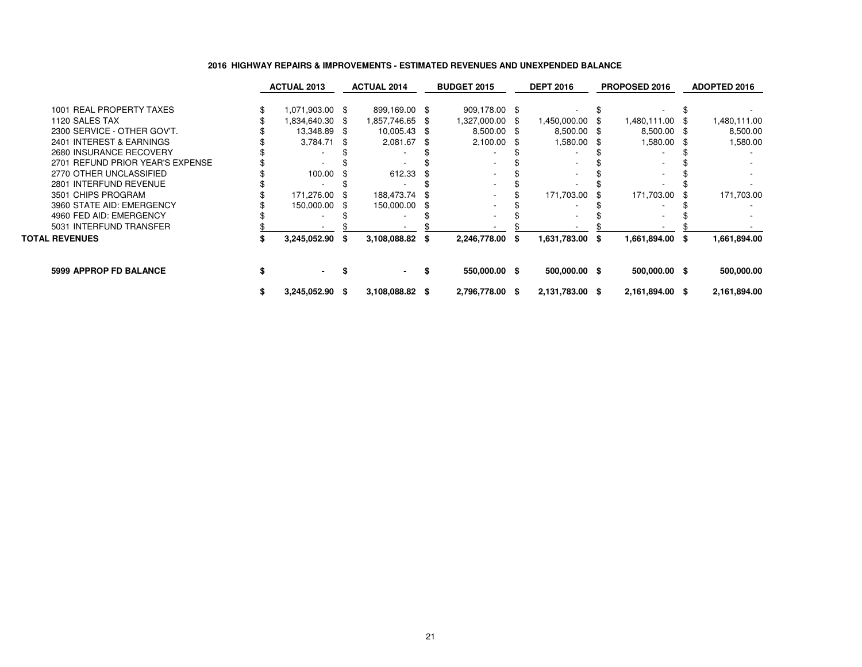### **2016 HIGHWAY REPAIRS & IMPROVEMENTS - ESTIMATED REVENUES AND UNEXPENDED BALANCE**

|                                  | <b>ACTUAL 2013</b> | <b>ACTUAL 2014</b> | <b>BUDGET 2015</b> | <b>DEPT 2016</b> | PROPOSED 2016   | <b>ADOPTED 2016</b> |
|----------------------------------|--------------------|--------------------|--------------------|------------------|-----------------|---------------------|
| 1001 REAL PROPERTY TAXES         | 1,071,903.00 \$    | 899,169.00 \$      | 909,178.00 \$      |                  |                 |                     |
| 1120 SALES TAX                   | 1,834,640.30 \$    | 1,857,746.65 \$    | 1,327,000.00 \$    | 1,450,000.00     | 1,480,111.00 \$ | 1,480,111.00        |
| 2300 SERVICE - OTHER GOV'T.      | 13,348.89 \$       | 10,005.43 \$       | $8,500.00$ \$      | 8,500.00 \$      | 8,500.00 \$     | 8,500.00            |
| 2401 INTEREST & EARNINGS         | 3,784.71 \$        | 2,081.67           | 2,100.00           | 1,580.00         | 1,580.00        | 1,580.00            |
| 2680 INSURANCE RECOVERY          |                    |                    |                    |                  |                 |                     |
| 2701 REFUND PRIOR YEAR'S EXPENSE |                    |                    |                    |                  |                 |                     |
| 2770 OTHER UNCLASSIFIED          | 100.00             | 612.33             |                    |                  |                 |                     |
| 2801 INTERFUND REVENUE           |                    |                    |                    |                  |                 |                     |
| 3501 CHIPS PROGRAM               | 171,276.00         | 188,473.74 \$      |                    | 171,703.00       | 171,703.00      | 171,703.00          |
| 3960 STATE AID: EMERGENCY        | 150,000.00 \$      | 150,000.00 \$      |                    |                  |                 |                     |
| 4960 FED AID: EMERGENCY          |                    |                    |                    |                  |                 |                     |
| 5031 INTERFUND TRANSFER          |                    |                    |                    |                  |                 |                     |
| <b>TOTAL REVENUES</b>            | 3,245,052.90 \$    | 3,108,088.82 \$    | 2,246,778.00 \$    | 1,631,783.00 \$  | 1,661,894.00 \$ | 1,661,894.00        |
| 5999 APPROP FD BALANCE           |                    |                    | 550,000.00 \$      | 500,000.00 \$    | 500,000.00 \$   | 500,000.00          |
|                                  | $3,245,052.90$ \$  | 3,108,088.82 \$    | 2,796,778.00 \$    | 2,131,783.00 \$  | 2,161,894.00 \$ | 2,161,894.00        |